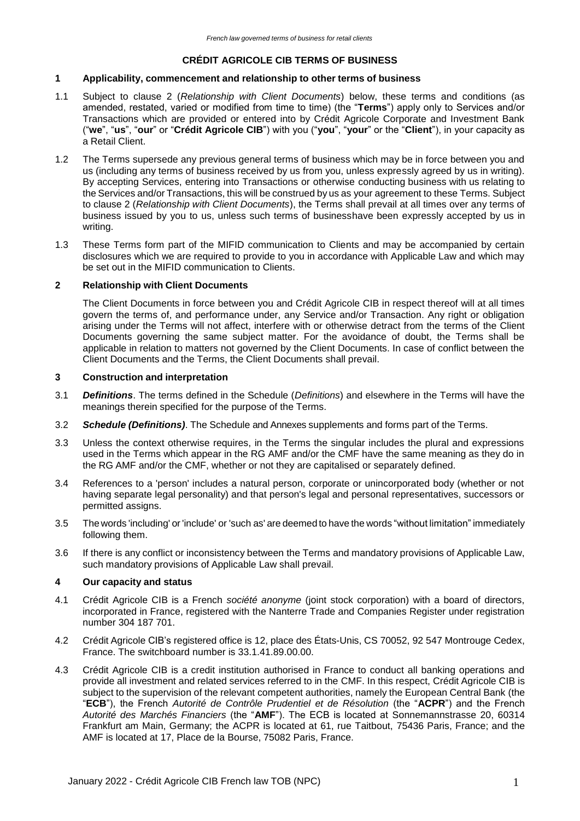## **CRÉDIT AGRICOLE CIB TERMS OF BUSINESS**

### **1 Applicability, commencement and relationship to other terms of business**

- 1.1 Subject to clause 2 (*Relationship with Client Documents*) below, these terms and conditions (as amended, restated, varied or modified from time to time) (the "**Terms**") apply only to Services and/or Transactions which are provided or entered into by Crédit Agricole Corporate and Investment Bank ("**we**", "**us**", "**our**" or "**Crédit Agricole CIB**") with you ("**you**", "**your**" or the "**Client**"), in your capacity as a Retail Client.
- 1.2 The Terms supersede any previous general terms of business which may be in force between you and us (including any terms of business received by us from you, unless expressly agreed by us in writing). By accepting Services, entering into Transactions or otherwise conducting business with us relating to the Services and/or Transactions, this will be construed by us as your agreement to these Terms. Subject to clause 2 (*Relationship with Client Documents*), the Terms shall prevail at all times over any terms of business issued by you to us, unless such terms of businesshave been expressly accepted by us in writing.
- 1.3 These Terms form part of the MIFID communication to Clients and may be accompanied by certain disclosures which we are required to provide to you in accordance with Applicable Law and which may be set out in the MIFID communication to Clients.

### **2 Relationship with Client Documents**

The Client Documents in force between you and Crédit Agricole CIB in respect thereof will at all times govern the terms of, and performance under, any Service and/or Transaction. Any right or obligation arising under the Terms will not affect, interfere with or otherwise detract from the terms of the Client Documents governing the same subject matter. For the avoidance of doubt, the Terms shall be applicable in relation to matters not governed by the Client Documents. In case of conflict between the Client Documents and the Terms, the Client Documents shall prevail.

### **3 Construction and interpretation**

- 3.1 *Definitions*. The terms defined in the Schedule (*Definitions*) and elsewhere in the Terms will have the meanings therein specified for the purpose of the Terms.
- 3.2 *Schedule (Definitions)*. The Schedule and Annexes supplements and forms part of the Terms.
- 3.3 Unless the context otherwise requires, in the Terms the singular includes the plural and expressions used in the Terms which appear in the RG AMF and/or the CMF have the same meaning as they do in the RG AMF and/or the CMF, whether or not they are capitalised or separately defined.
- 3.4 References to a 'person' includes a natural person, corporate or unincorporated body (whether or not having separate legal personality) and that person's legal and personal representatives, successors or permitted assigns.
- 3.5 The words 'including' or 'include' or 'such as' are deemed to have the words "without limitation" immediately following them.
- 3.6 If there is any conflict or inconsistency between the Terms and mandatory provisions of Applicable Law, such mandatory provisions of Applicable Law shall prevail.

### **4 Our capacity and status**

- 4.1 Crédit Agricole CIB is a French *société anonyme* (joint stock corporation) with a board of directors, incorporated in France, registered with the Nanterre Trade and Companies Register under registration number 304 187 701.
- 4.2 Crédit Agricole CIB's registered office is 12, place des États-Unis, CS 70052, 92 547 Montrouge Cedex, France. The switchboard number is 33.1.41.89.00.00.
- 4.3 Crédit Agricole CIB is a credit institution authorised in France to conduct all banking operations and provide all investment and related services referred to in the CMF. In this respect, Crédit Agricole CIB is subject to the supervision of the relevant competent authorities, namely the European Central Bank (the "**ECB**"), the French *Autorité de Contrôle Prudentiel et de Résolution* (the "**ACPR**") and the French *Autorité des Marchés Financiers* (the "**AMF**"). The ECB is located at Sonnemannstrasse 20, 60314 Frankfurt am Main, Germany; the ACPR is located at 61, rue Taitbout, 75436 Paris, France; and the AMF is located at 17, Place de la Bourse, 75082 Paris, France.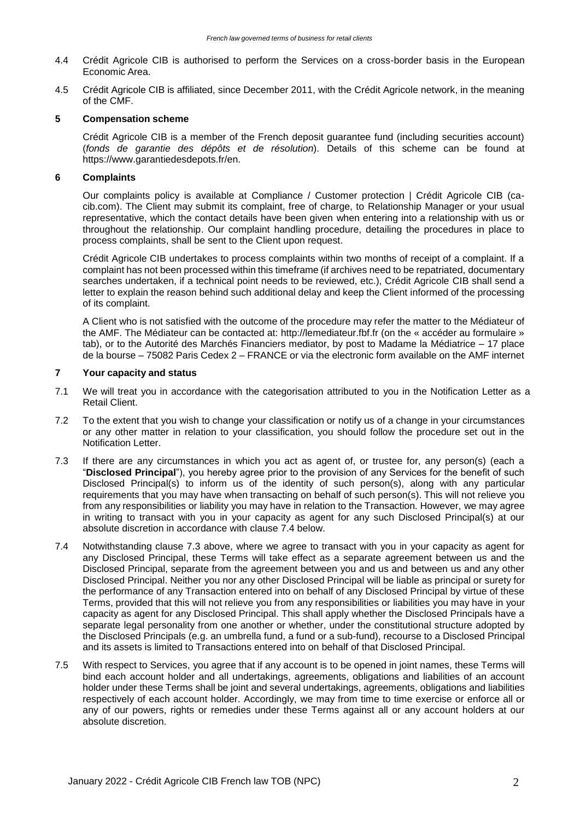- 4.4 Crédit Agricole CIB is authorised to perform the Services on a cross-border basis in the European Economic Area.
- 4.5 Crédit Agricole CIB is affiliated, since December 2011, with the Crédit Agricole network, in the meaning of the CMF.

### **5 Compensation scheme**

Crédit Agricole CIB is a member of the French deposit guarantee fund (including securities account) (*fonds de garantie des dépôts et de résolution*). Details of this scheme can be found at https:/[/www.garantiedesdepots.fr/en.](http://www.garantiedesdepots.fr/en)

## **6 Complaints**

Our complaints policy is available at Compliance / Customer protection | Crédit Agricole CIB (cacib.com). The Client may submit its complaint, free of charge, to Relationship Manager or your usual representative, which the contact details have been given when entering into a relationship with us or throughout the relationship. Our complaint handling procedure, detailing the procedures in place to process complaints, shall be sent to the Client upon request.

Crédit Agricole CIB undertakes to process complaints within two months of receipt of a complaint. If a complaint has not been processed within this timeframe (if archives need to be repatriated, documentary searches undertaken, if a technical point needs to be reviewed, etc.), Crédit Agricole CIB shall send a letter to explain the reason behind such additional delay and keep the Client informed of the processing of its complaint.

A Client who is not satisfied with the outcome of the procedure may refer the matter to the Médiateur of the AMF. The Médiateur can be contacted at: http://lemediateur.fbf.fr (on the « accéder au formulaire » tab), or to the Autorité des Marchés Financiers mediator, by post to Madame la Médiatrice – 17 place de la bourse – 75082 Paris Cedex 2 – FRANCE or via the electronic form available on the AMF internet

### **7 Your capacity and status**

- 7.1 We will treat you in accordance with the categorisation attributed to you in the Notification Letter as a Retail Client.
- 7.2 To the extent that you wish to change your classification or notify us of a change in your circumstances or any other matter in relation to your classification, you should follow the procedure set out in the Notification Letter.
- 7.3 If there are any circumstances in which you act as agent of, or trustee for, any person(s) (each a "**Disclosed Principal**"), you hereby agree prior to the provision of any Services for the benefit of such Disclosed Principal(s) to inform us of the identity of such person(s), along with any particular requirements that you may have when transacting on behalf of such person(s). This will not relieve you from any responsibilities or liability you may have in relation to the Transaction. However, we may agree in writing to transact with you in your capacity as agent for any such Disclosed Principal(s) at our absolute discretion in accordance with clause 7.4 below.
- 7.4 Notwithstanding clause 7.3 above, where we agree to transact with you in your capacity as agent for any Disclosed Principal, these Terms will take effect as a separate agreement between us and the Disclosed Principal, separate from the agreement between you and us and between us and any other Disclosed Principal. Neither you nor any other Disclosed Principal will be liable as principal or surety for the performance of any Transaction entered into on behalf of any Disclosed Principal by virtue of these Terms, provided that this will not relieve you from any responsibilities or liabilities you may have in your capacity as agent for any Disclosed Principal. This shall apply whether the Disclosed Principals have a separate legal personality from one another or whether, under the constitutional structure adopted by the Disclosed Principals (e.g. an umbrella fund, a fund or a sub-fund), recourse to a Disclosed Principal and its assets is limited to Transactions entered into on behalf of that Disclosed Principal.
- 7.5 With respect to Services, you agree that if any account is to be opened in joint names, these Terms will bind each account holder and all undertakings, agreements, obligations and liabilities of an account holder under these Terms shall be joint and several undertakings, agreements, obligations and liabilities respectively of each account holder. Accordingly, we may from time to time exercise or enforce all or any of our powers, rights or remedies under these Terms against all or any account holders at our absolute discretion.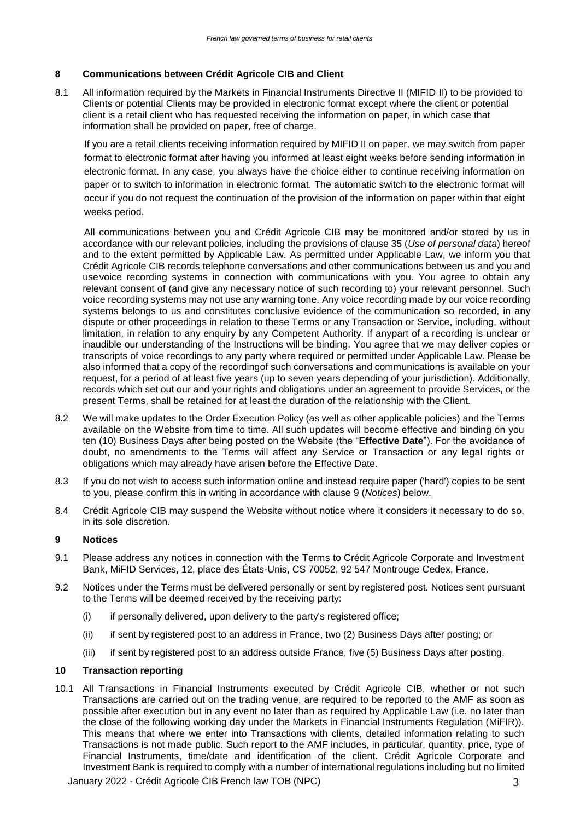## **8 Communications between Crédit Agricole CIB and Client**

8.1 All information required by the Markets in Financial Instruments Directive II (MIFID II) to be provided to Clients or potential Clients may be provided in electronic format except where the client or potential client is a retail client who has requested receiving the information on paper, in which case that information shall be provided on paper, free of charge.

If you are a retail clients receiving information required by MIFID II on paper, we may switch from paper format to electronic format after having you informed at least eight weeks before sending information in electronic format. In any case, you always have the choice either to continue receiving information on paper or to switch to information in electronic format. The automatic switch to the electronic format will occur if you do not request the continuation of the provision of the information on paper within that eight weeks period.

All communications between you and Crédit Agricole CIB may be monitored and/or stored by us in accordance with our relevant policies, including the provisions of clause 35 (*Use of personal data*) hereof and to the extent permitted by Applicable Law. As permitted under Applicable Law, we inform you that Crédit Agricole CIB records telephone conversations and other communications between us and you and usevoice recording systems in connection with communications with you. You agree to obtain any relevant consent of (and give any necessary notice of such recording to) your relevant personnel. Such voice recording systems may not use any warning tone. Any voice recording made by our voice recording systems belongs to us and constitutes conclusive evidence of the communication so recorded, in any dispute or other proceedings in relation to these Terms or any Transaction or Service, including, without limitation, in relation to any enquiry by any Competent Authority. If anypart of a recording is unclear or inaudible our understanding of the Instructions will be binding. You agree that we may deliver copies or transcripts of voice recordings to any party where required or permitted under Applicable Law. Please be also informed that a copy of the recordingof such conversations and communications is available on your request, for a period of at least five years (up to seven years depending of your jurisdiction). Additionally, records which set out our and your rights and obligations under an agreement to provide Services, or the present Terms, shall be retained for at least the duration of the relationship with the Client.

- 8.2 We will make updates to the Order Execution Policy (as well as other applicable policies) and the Terms available on the Website from time to time. All such updates will become effective and binding on you ten (10) Business Days after being posted on the Website (the "**Effective Date**"). For the avoidance of doubt, no amendments to the Terms will affect any Service or Transaction or any legal rights or obligations which may already have arisen before the Effective Date.
- 8.3 If you do not wish to access such information online and instead require paper ('hard') copies to be sent to you, please confirm this in writing in accordance with clause 9 (*Notices*) below.
- 8.4 Crédit Agricole CIB may suspend the Website without notice where it considers it necessary to do so, in its sole discretion.

### **9 Notices**

- 9.1 Please address any notices in connection with the Terms to Crédit Agricole Corporate and Investment Bank, MiFID Services, 12, place des États-Unis, CS 70052, 92 547 Montrouge Cedex, France.
- 9.2 Notices under the Terms must be delivered personally or sent by registered post. Notices sent pursuant to the Terms will be deemed received by the receiving party:
	- (i) if personally delivered, upon delivery to the party's registered office;
	- (ii) if sent by registered post to an address in France, two (2) Business Days after posting; or
	- (iii) if sent by registered post to an address outside France, five (5) Business Days after posting.

## **10 Transaction reporting**

10.1 All Transactions in Financial Instruments executed by Crédit Agricole CIB, whether or not such Transactions are carried out on the trading venue, are required to be reported to the AMF as soon as possible after execution but in any event no later than as required by Applicable Law (i.e. no later than the close of the following working day under the Markets in Financial Instruments Regulation (MiFIR)). This means that where we enter into Transactions with clients, detailed information relating to such Transactions is not made public. Such report to the AMF includes, in particular, quantity, price, type of Financial Instruments, time/date and identification of the client. Crédit Agricole Corporate and Investment Bank is required to comply with a number of international regulations including but no limited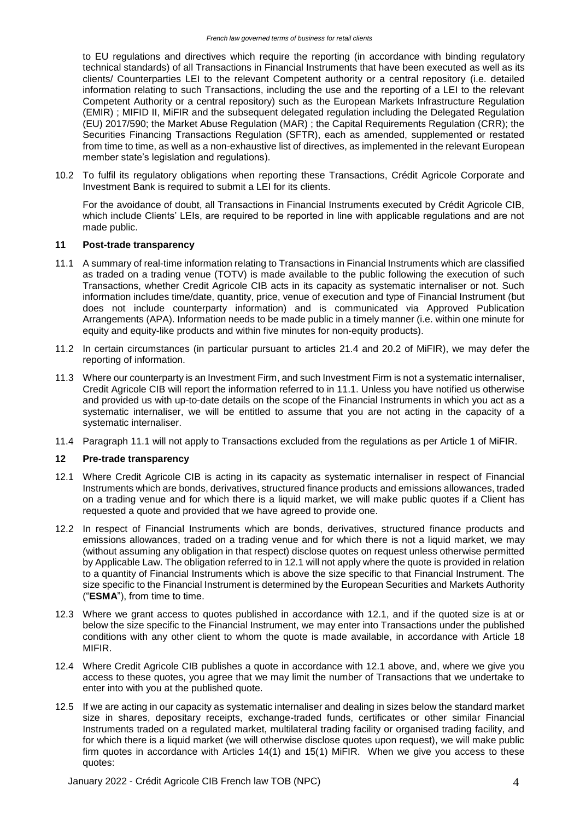to EU regulations and directives which require the reporting (in accordance with binding regulatory technical standards) of all Transactions in Financial Instruments that have been executed as well as its clients/ Counterparties LEI to the relevant Competent authority or a central repository (i.e. detailed information relating to such Transactions, including the use and the reporting of a LEI to the relevant Competent Authority or a central repository) such as the European Markets Infrastructure Regulation (EMIR) ; MIFID II, MiFIR and the subsequent delegated regulation including the Delegated Regulation (EU) 2017/590; the Market Abuse Regulation (MAR) ; the Capital Requirements Regulation (CRR); the Securities Financing Transactions Regulation (SFTR), each as amended, supplemented or restated from time to time, as well as a non-exhaustive list of directives, as implemented in the relevant European member state's legislation and regulations).

10.2 To fulfil its regulatory obligations when reporting these Transactions, Crédit Agricole Corporate and Investment Bank is required to submit a LEI for its clients.

For the avoidance of doubt, all Transactions in Financial Instruments executed by Crédit Agricole CIB, which include Clients' LEIs, are required to be reported in line with applicable regulations and are not made public.

## **11 Post-trade transparency**

- 11.1 A summary of real-time information relating to Transactions in Financial Instruments which are classified as traded on a trading venue (TOTV) is made available to the public following the execution of such Transactions, whether Credit Agricole CIB acts in its capacity as systematic internaliser or not. Such information includes time/date, quantity, price, venue of execution and type of Financial Instrument (but does not include counterparty information) and is communicated via Approved Publication Arrangements (APA). Information needs to be made public in a timely manner (i.e. within one minute for equity and equity-like products and within five minutes for non-equity products).
- 11.2 In certain circumstances (in particular pursuant to articles 21.4 and 20.2 of MiFIR), we may defer the reporting of information.
- 11.3 Where our counterparty is an Investment Firm, and such Investment Firm is not a systematic internaliser, Credit Agricole CIB will report the information referred to in 11.1. Unless you have notified us otherwise and provided us with up-to-date details on the scope of the Financial Instruments in which you act as a systematic internaliser, we will be entitled to assume that you are not acting in the capacity of a systematic internaliser.
- 11.4 Paragraph 11.1 will not apply to Transactions excluded from the regulations as per Article 1 of MiFIR.

## **12 Pre-trade transparency**

- 12.1 Where Credit Agricole CIB is acting in its capacity as systematic internaliser in respect of Financial Instruments which are bonds, derivatives, structured finance products and emissions allowances, traded on a trading venue and for which there is a liquid market, we will make public quotes if a Client has requested a quote and provided that we have agreed to provide one.
- 12.2 In respect of Financial Instruments which are bonds, derivatives, structured finance products and emissions allowances, traded on a trading venue and for which there is not a liquid market, we may (without assuming any obligation in that respect) disclose quotes on request unless otherwise permitted by Applicable Law. The obligation referred to in 12.1 will not apply where the quote is provided in relation to a quantity of Financial Instruments which is above the size specific to that Financial Instrument. The size specific to the Financial Instrument is determined by the European Securities and Markets Authority ("**ESMA**"), from time to time.
- 12.3 Where we grant access to quotes published in accordance with 12.1, and if the quoted size is at or below the size specific to the Financial Instrument, we may enter into Transactions under the published conditions with any other client to whom the quote is made available, in accordance with Article 18 MIFIR.
- 12.4 Where Credit Agricole CIB publishes a quote in accordance with 12.1 above, and, where we give you access to these quotes, you agree that we may limit the number of Transactions that we undertake to enter into with you at the published quote.
- 12.5 If we are acting in our capacity as systematic internaliser and dealing in sizes below the standard market size in shares, depositary receipts, exchange-traded funds, certificates or other similar Financial Instruments traded on a regulated market, multilateral trading facility or organised trading facility, and for which there is a liquid market (we will otherwise disclose quotes upon request), we will make public firm quotes in accordance with Articles 14(1) and 15(1) MiFIR. When we give you access to these quotes: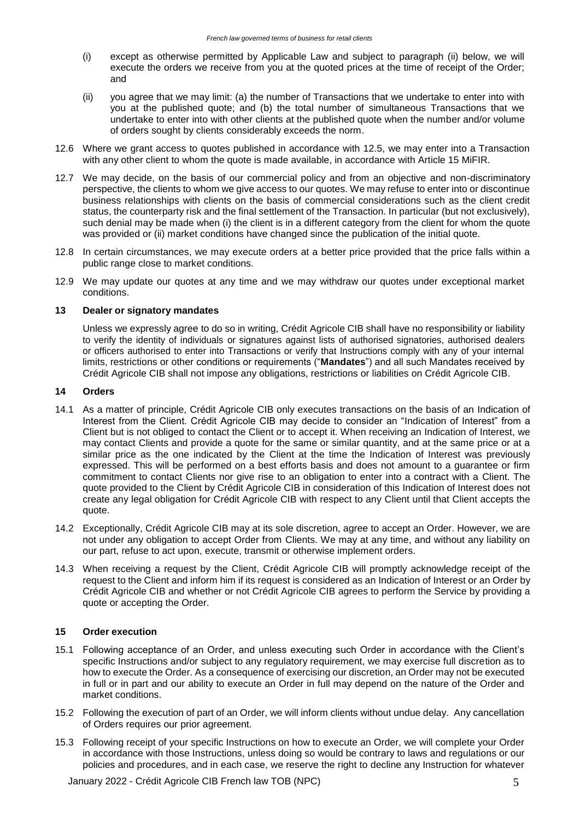- (i) except as otherwise permitted by Applicable Law and subject to paragraph (ii) below, we will execute the orders we receive from you at the quoted prices at the time of receipt of the Order; and
- (ii) you agree that we may limit: (a) the number of Transactions that we undertake to enter into with you at the published quote; and (b) the total number of simultaneous Transactions that we undertake to enter into with other clients at the published quote when the number and/or volume of orders sought by clients considerably exceeds the norm.
- 12.6 Where we grant access to quotes published in accordance with 12.5, we may enter into a Transaction with any other client to whom the quote is made available, in accordance with Article 15 MiFIR.
- 12.7 We may decide, on the basis of our commercial policy and from an objective and non-discriminatory perspective, the clients to whom we give access to our quotes. We may refuse to enter into or discontinue business relationships with clients on the basis of commercial considerations such as the client credit status, the counterparty risk and the final settlement of the Transaction. In particular (but not exclusively), such denial may be made when (i) the client is in a different category from the client for whom the quote was provided or (ii) market conditions have changed since the publication of the initial quote.
- 12.8 In certain circumstances, we may execute orders at a better price provided that the price falls within a public range close to market conditions.
- 12.9 We may update our quotes at any time and we may withdraw our quotes under exceptional market conditions.

### **13 Dealer or signatory mandates**

Unless we expressly agree to do so in writing, Crédit Agricole CIB shall have no responsibility or liability to verify the identity of individuals or signatures against lists of authorised signatories, authorised dealers or officers authorised to enter into Transactions or verify that Instructions comply with any of your internal limits, restrictions or other conditions or requirements ("**Mandates**") and all such Mandates received by Crédit Agricole CIB shall not impose any obligations, restrictions or liabilities on Crédit Agricole CIB.

#### **14 Orders**

- 14.1 As a matter of principle, Crédit Agricole CIB only executes transactions on the basis of an Indication of Interest from the Client. Crédit Agricole CIB may decide to consider an "Indication of Interest" from a Client but is not obliged to contact the Client or to accept it. When receiving an Indication of Interest, we may contact Clients and provide a quote for the same or similar quantity, and at the same price or at a similar price as the one indicated by the Client at the time the Indication of Interest was previously expressed. This will be performed on a best efforts basis and does not amount to a guarantee or firm commitment to contact Clients nor give rise to an obligation to enter into a contract with a Client. The quote provided to the Client by Crédit Agricole CIB in consideration of this Indication of Interest does not create any legal obligation for Crédit Agricole CIB with respect to any Client until that Client accepts the quote.
- 14.2 Exceptionally, Crédit Agricole CIB may at its sole discretion, agree to accept an Order. However, we are not under any obligation to accept Order from Clients. We may at any time, and without any liability on our part, refuse to act upon, execute, transmit or otherwise implement orders.
- 14.3 When receiving a request by the Client, Crédit Agricole CIB will promptly acknowledge receipt of the request to the Client and inform him if its request is considered as an Indication of Interest or an Order by Crédit Agricole CIB and whether or not Crédit Agricole CIB agrees to perform the Service by providing a quote or accepting the Order.

### **15 Order execution**

- 15.1 Following acceptance of an Order, and unless executing such Order in accordance with the Client's specific Instructions and/or subject to any regulatory requirement, we may exercise full discretion as to how to execute the Order. As a consequence of exercising our discretion, an Order may not be executed in full or in part and our ability to execute an Order in full may depend on the nature of the Order and market conditions.
- 15.2 Following the execution of part of an Order, we will inform clients without undue delay. Any cancellation of Orders requires our prior agreement.
- 15.3 Following receipt of your specific Instructions on how to execute an Order, we will complete your Order in accordance with those Instructions, unless doing so would be contrary to laws and regulations or our policies and procedures, and in each case, we reserve the right to decline any Instruction for whatever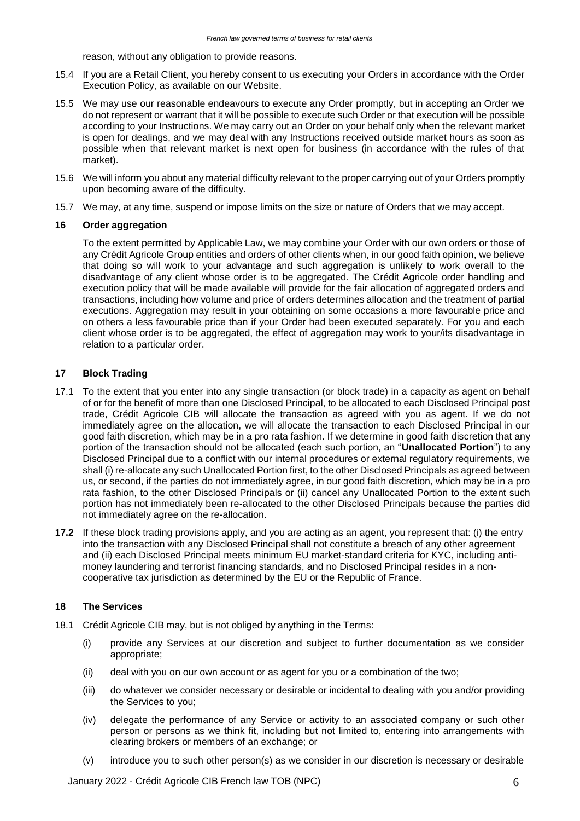reason, without any obligation to provide reasons.

- 15.4 If you are a Retail Client, you hereby consent to us executing your Orders in accordance with the Order Execution Policy, as available on our Website.
- 15.5 We may use our reasonable endeavours to execute any Order promptly, but in accepting an Order we do not represent or warrant that it will be possible to execute such Order or that execution will be possible according to your Instructions. We may carry out an Order on your behalf only when the relevant market is open for dealings, and we may deal with any Instructions received outside market hours as soon as possible when that relevant market is next open for business (in accordance with the rules of that market).
- 15.6 We will inform you about any material difficulty relevant to the proper carrying out of your Orders promptly upon becoming aware of the difficulty.
- 15.7 We may, at any time, suspend or impose limits on the size or nature of Orders that we may accept.

### **16 Order aggregation**

To the extent permitted by Applicable Law, we may combine your Order with our own orders or those of any Crédit Agricole Group entities and orders of other clients when, in our good faith opinion, we believe that doing so will work to your advantage and such aggregation is unlikely to work overall to the disadvantage of any client whose order is to be aggregated. The Crédit Agricole order handling and execution policy that will be made available will provide for the fair allocation of aggregated orders and transactions, including how volume and price of orders determines allocation and the treatment of partial executions. Aggregation may result in your obtaining on some occasions a more favourable price and on others a less favourable price than if your Order had been executed separately. For you and each client whose order is to be aggregated, the effect of aggregation may work to your/its disadvantage in relation to a particular order.

## **17 Block Trading**

- 17.1 To the extent that you enter into any single transaction (or block trade) in a capacity as agent on behalf of or for the benefit of more than one Disclosed Principal, to be allocated to each Disclosed Principal post trade, Crédit Agricole CIB will allocate the transaction as agreed with you as agent. If we do not immediately agree on the allocation, we will allocate the transaction to each Disclosed Principal in our good faith discretion, which may be in a pro rata fashion. If we determine in good faith discretion that any portion of the transaction should not be allocated (each such portion, an "**Unallocated Portion**") to any Disclosed Principal due to a conflict with our internal procedures or external regulatory requirements, we shall (i) re-allocate any such Unallocated Portion first, to the other Disclosed Principals as agreed between us, or second, if the parties do not immediately agree, in our good faith discretion, which may be in a pro rata fashion, to the other Disclosed Principals or (ii) cancel any Unallocated Portion to the extent such portion has not immediately been re-allocated to the other Disclosed Principals because the parties did not immediately agree on the re-allocation.
- **17.2** If these block trading provisions apply, and you are acting as an agent, you represent that: (i) the entry into the transaction with any Disclosed Principal shall not constitute a breach of any other agreement and (ii) each Disclosed Principal meets minimum EU market-standard criteria for KYC, including antimoney laundering and terrorist financing standards, and no Disclosed Principal resides in a noncooperative tax jurisdiction as determined by the EU or the Republic of France.

### **18 The Services**

- 18.1 Crédit Agricole CIB may, but is not obliged by anything in the Terms:
	- (i) provide any Services at our discretion and subject to further documentation as we consider appropriate;
	- (ii) deal with you on our own account or as agent for you or a combination of the two;
	- (iii) do whatever we consider necessary or desirable or incidental to dealing with you and/or providing the Services to you;
	- (iv) delegate the performance of any Service or activity to an associated company or such other person or persons as we think fit, including but not limited to, entering into arrangements with clearing brokers or members of an exchange; or
	- (v) introduce you to such other person(s) as we consider in our discretion is necessary or desirable

January 2022 - Crédit Agricole CIB French law TOB (NPC) 6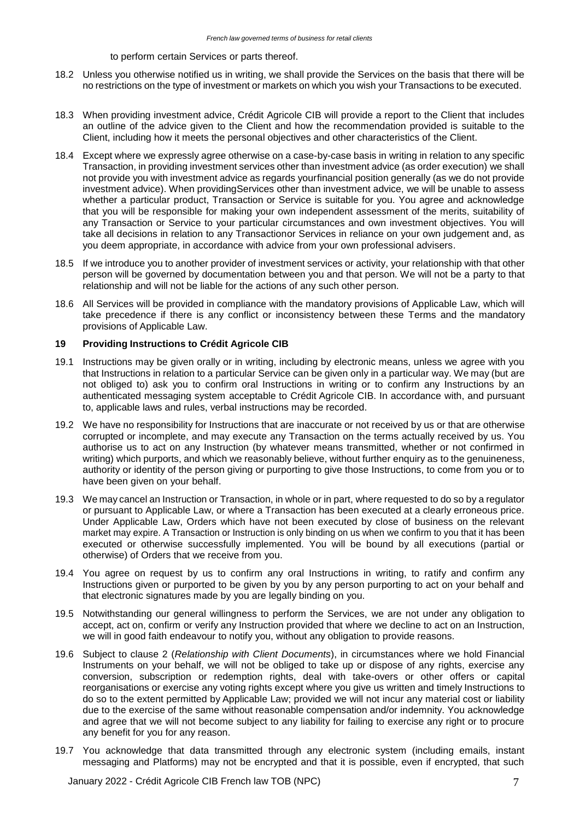#### to perform certain Services or parts thereof.

- 18.2 Unless you otherwise notified us in writing, we shall provide the Services on the basis that there will be no restrictions on the type of investment or markets on which you wish your Transactions to be executed.
- 18.3 When providing investment advice, Crédit Agricole CIB will provide a report to the Client that includes an outline of the advice given to the Client and how the recommendation provided is suitable to the Client, including how it meets the personal objectives and other characteristics of the Client.
- 18.4 Except where we expressly agree otherwise on a case-by-case basis in writing in relation to any specific Transaction, in providing investment services other than investment advice (as order execution) we shall not provide you with investment advice as regards yourfinancial position generally (as we do not provide investment advice). When providingServices other than investment advice, we will be unable to assess whether a particular product, Transaction or Service is suitable for you. You agree and acknowledge that you will be responsible for making your own independent assessment of the merits, suitability of any Transaction or Service to your particular circumstances and own investment objectives. You will take all decisions in relation to any Transactionor Services in reliance on your own judgement and, as you deem appropriate, in accordance with advice from your own professional advisers.
- 18.5 If we introduce you to another provider of investment services or activity, your relationship with that other person will be governed by documentation between you and that person. We will not be a party to that relationship and will not be liable for the actions of any such other person.
- 18.6 All Services will be provided in compliance with the mandatory provisions of Applicable Law, which will take precedence if there is any conflict or inconsistency between these Terms and the mandatory provisions of Applicable Law.

### **19 Providing Instructions to Crédit Agricole CIB**

- 19.1 Instructions may be given orally or in writing, including by electronic means, unless we agree with you that Instructions in relation to a particular Service can be given only in a particular way. We may (but are not obliged to) ask you to confirm oral Instructions in writing or to confirm any Instructions by an authenticated messaging system acceptable to Crédit Agricole CIB. In accordance with, and pursuant to, applicable laws and rules, verbal instructions may be recorded.
- 19.2 We have no responsibility for Instructions that are inaccurate or not received by us or that are otherwise corrupted or incomplete, and may execute any Transaction on the terms actually received by us. You authorise us to act on any Instruction (by whatever means transmitted, whether or not confirmed in writing) which purports, and which we reasonably believe, without further enquiry as to the genuineness, authority or identity of the person giving or purporting to give those Instructions, to come from you or to have been given on your behalf.
- 19.3 We may cancel an Instruction or Transaction, in whole or in part, where requested to do so by a regulator or pursuant to Applicable Law, or where a Transaction has been executed at a clearly erroneous price. Under Applicable Law, Orders which have not been executed by close of business on the relevant market may expire. A Transaction or Instruction is only binding on us when we confirm to you that it has been executed or otherwise successfully implemented. You will be bound by all executions (partial or otherwise) of Orders that we receive from you.
- 19.4 You agree on request by us to confirm any oral Instructions in writing, to ratify and confirm any Instructions given or purported to be given by you by any person purporting to act on your behalf and that electronic signatures made by you are legally binding on you.
- 19.5 Notwithstanding our general willingness to perform the Services, we are not under any obligation to accept, act on, confirm or verify any Instruction provided that where we decline to act on an Instruction, we will in good faith endeavour to notify you, without any obligation to provide reasons.
- 19.6 Subject to clause 2 (*Relationship with Client Documents*), in circumstances where we hold Financial Instruments on your behalf, we will not be obliged to take up or dispose of any rights, exercise any conversion, subscription or redemption rights, deal with take-overs or other offers or capital reorganisations or exercise any voting rights except where you give us written and timely Instructions to do so to the extent permitted by Applicable Law; provided we will not incur any material cost or liability due to the exercise of the same without reasonable compensation and/or indemnity. You acknowledge and agree that we will not become subject to any liability for failing to exercise any right or to procure any benefit for you for any reason.
- 19.7 You acknowledge that data transmitted through any electronic system (including emails, instant messaging and Platforms) may not be encrypted and that it is possible, even if encrypted, that such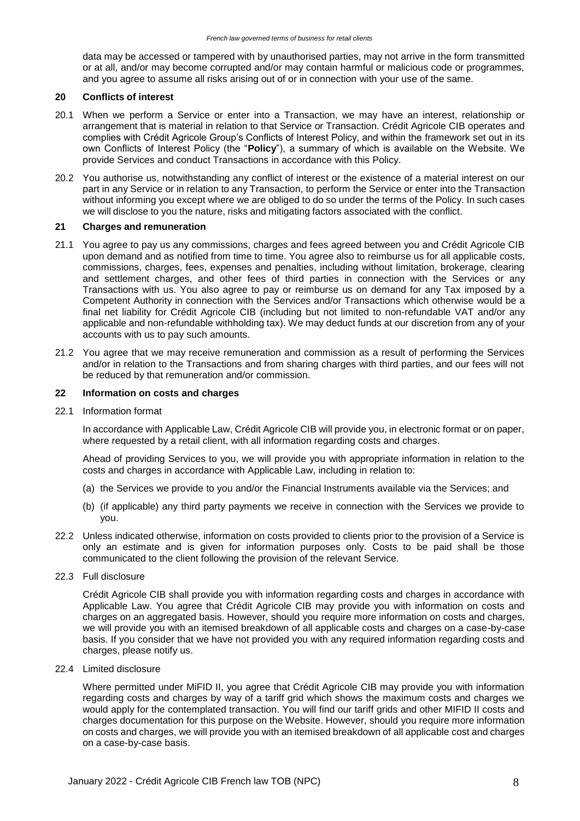data may be accessed or tampered with by unauthorised parties, may not arrive in the form transmitted or at all, and/or may become corrupted and/or may contain harmful or malicious code or programmes, and you agree to assume all risks arising out of or in connection with your use of the same.

## **20 Conflicts of interest**

- 20.1 When we perform a Service or enter into a Transaction, we may have an interest, relationship or arrangement that is material in relation to that Service or Transaction. Crédit Agricole CIB operates and complies with Crédit Agricole Group's Conflicts of Interest Policy, and within the framework set out in its own Conflicts of Interest Policy (the "**Policy**"), a summary of which is available on the Website. We provide Services and conduct Transactions in accordance with this Policy.
- 20.2 You authorise us, notwithstanding any conflict of interest or the existence of a material interest on our part in any Service or in relation to any Transaction, to perform the Service or enter into the Transaction without informing you except where we are obliged to do so under the terms of the Policy. In such cases we will disclose to you the nature, risks and mitigating factors associated with the conflict.

## **21 Charges and remuneration**

- 21.1 You agree to pay us any commissions, charges and fees agreed between you and Crédit Agricole CIB upon demand and as notified from time to time. You agree also to reimburse us for all applicable costs, commissions, charges, fees, expenses and penalties, including without limitation, brokerage, clearing and settlement charges, and other fees of third parties in connection with the Services or any Transactions with us. You also agree to pay or reimburse us on demand for any Tax imposed by a Competent Authority in connection with the Services and/or Transactions which otherwise would be a final net liability for Crédit Agricole CIB (including but not limited to non-refundable VAT and/or any applicable and non-refundable withholding tax). We may deduct funds at our discretion from any of your accounts with us to pay such amounts.
- 21.2 You agree that we may receive remuneration and commission as a result of performing the Services and/or in relation to the Transactions and from sharing charges with third parties, and our fees will not be reduced by that remuneration and/or commission.

## **22 Information on costs and charges**

22.1 Information format

In accordance with Applicable Law, Crédit Agricole CIB will provide you, in electronic format or on paper, where requested by a retail client, with all information regarding costs and charges.

Ahead of providing Services to you, we will provide you with appropriate information in relation to the costs and charges in accordance with Applicable Law, including in relation to:

- (a) the Services we provide to you and/or the Financial Instruments available via the Services; and
- (b) (if applicable) any third party payments we receive in connection with the Services we provide to you.
- 22.2 Unless indicated otherwise, information on costs provided to clients prior to the provision of a Service is only an estimate and is given for information purposes only. Costs to be paid shall be those communicated to the client following the provision of the relevant Service.
- 22.3 Full disclosure

Crédit Agricole CIB shall provide you with information regarding costs and charges in accordance with Applicable Law. You agree that Crédit Agricole CIB may provide you with information on costs and charges on an aggregated basis. However, should you require more information on costs and charges, we will provide you with an itemised breakdown of all applicable costs and charges on a case-by-case basis. If you consider that we have not provided you with any required information regarding costs and charges, please notify us.

22.4 Limited disclosure

Where permitted under MiFID II, you agree that Crédit Agricole CIB may provide you with information regarding costs and charges by way of a tariff grid which shows the maximum costs and charges we would apply for the contemplated transaction. You will find our tariff grids and other MIFID II costs and charges documentation for this purpose on the Website. However, should you require more information on costs and charges, we will provide you with an itemised breakdown of all applicable cost and charges on a case-by-case basis.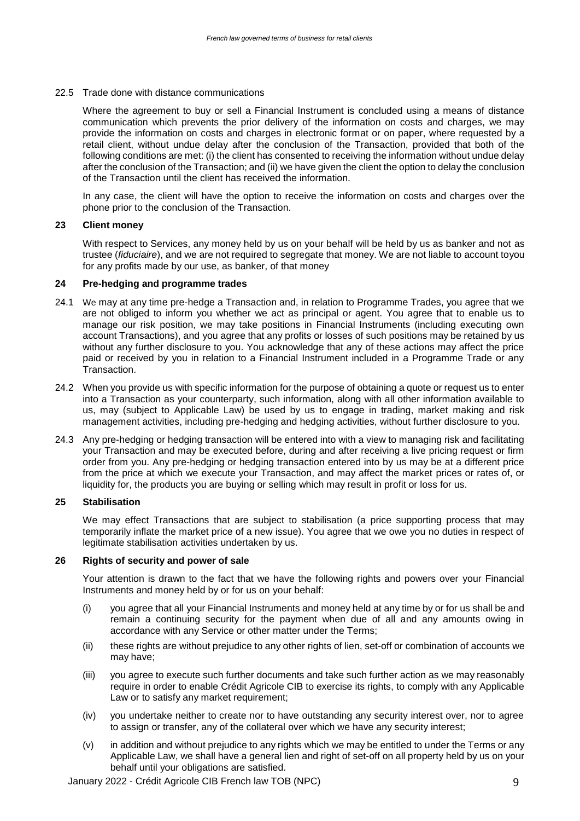22.5 Trade done with distance communications

Where the agreement to buy or sell a Financial Instrument is concluded using a means of distance communication which prevents the prior delivery of the information on costs and charges, we may provide the information on costs and charges in electronic format or on paper, where requested by a retail client, without undue delay after the conclusion of the Transaction, provided that both of the following conditions are met: (i) the client has consented to receiving the information without undue delay after the conclusion of the Transaction; and (ii) we have given the client the option to delay the conclusion of the Transaction until the client has received the information.

In any case, the client will have the option to receive the information on costs and charges over the phone prior to the conclusion of the Transaction.

### **23 Client money**

With respect to Services, any money held by us on your behalf will be held by us as banker and not as trustee (*fiduciaire*), and we are not required to segregate that money. We are not liable to account toyou for any profits made by our use, as banker, of that money

#### **24 Pre-hedging and programme trades**

- 24.1 We may at any time pre-hedge a Transaction and, in relation to Programme Trades, you agree that we are not obliged to inform you whether we act as principal or agent. You agree that to enable us to manage our risk position, we may take positions in Financial Instruments (including executing own account Transactions), and you agree that any profits or losses of such positions may be retained by us without any further disclosure to you. You acknowledge that any of these actions may affect the price paid or received by you in relation to a Financial Instrument included in a Programme Trade or any Transaction.
- 24.2 When you provide us with specific information for the purpose of obtaining a quote or request us to enter into a Transaction as your counterparty, such information, along with all other information available to us, may (subject to Applicable Law) be used by us to engage in trading, market making and risk management activities, including pre-hedging and hedging activities, without further disclosure to you.
- 24.3 Any pre-hedging or hedging transaction will be entered into with a view to managing risk and facilitating your Transaction and may be executed before, during and after receiving a live pricing request or firm order from you. Any pre-hedging or hedging transaction entered into by us may be at a different price from the price at which we execute your Transaction, and may affect the market prices or rates of, or liquidity for, the products you are buying or selling which may result in profit or loss for us.

## **25 Stabilisation**

We may effect Transactions that are subject to stabilisation (a price supporting process that may temporarily inflate the market price of a new issue). You agree that we owe you no duties in respect of legitimate stabilisation activities undertaken by us.

### **26 Rights of security and power of sale**

Your attention is drawn to the fact that we have the following rights and powers over your Financial Instruments and money held by or for us on your behalf:

- (i) you agree that all your Financial Instruments and money held at any time by or for us shall be and remain a continuing security for the payment when due of all and any amounts owing in accordance with any Service or other matter under the Terms;
- (ii) these rights are without prejudice to any other rights of lien, set-off or combination of accounts we may have;
- (iii) you agree to execute such further documents and take such further action as we may reasonably require in order to enable Crédit Agricole CIB to exercise its rights, to comply with any Applicable Law or to satisfy any market requirement;
- (iv) you undertake neither to create nor to have outstanding any security interest over, nor to agree to assign or transfer, any of the collateral over which we have any security interest;
- (v) in addition and without prejudice to any rights which we may be entitled to under the Terms or any Applicable Law, we shall have a general lien and right of set-off on all property held by us on your behalf until your obligations are satisfied.

January 2022 - Crédit Agricole CIB French law TOB (NPC) 9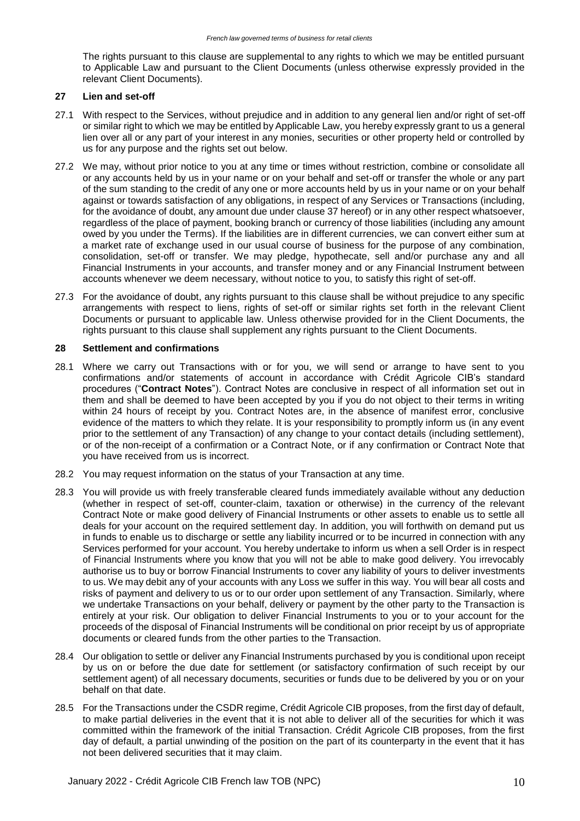The rights pursuant to this clause are supplemental to any rights to which we may be entitled pursuant to Applicable Law and pursuant to the Client Documents (unless otherwise expressly provided in the relevant Client Documents).

### **27 Lien and set-off**

- 27.1 With respect to the Services, without prejudice and in addition to any general lien and/or right of set-off or similar right to which we may be entitled by Applicable Law, you hereby expressly grant to us a general lien over all or any part of your interest in any monies, securities or other property held or controlled by us for any purpose and the rights set out below.
- 27.2 We may, without prior notice to you at any time or times without restriction, combine or consolidate all or any accounts held by us in your name or on your behalf and set-off or transfer the whole or any part of the sum standing to the credit of any one or more accounts held by us in your name or on your behalf against or towards satisfaction of any obligations, in respect of any Services or Transactions (including, for the avoidance of doubt, any amount due under clause 37 hereof) or in any other respect whatsoever, regardless of the place of payment, booking branch or currency of those liabilities (including any amount owed by you under the Terms). If the liabilities are in different currencies, we can convert either sum at a market rate of exchange used in our usual course of business for the purpose of any combination, consolidation, set-off or transfer. We may pledge, hypothecate, sell and/or purchase any and all Financial Instruments in your accounts, and transfer money and or any Financial Instrument between accounts whenever we deem necessary, without notice to you, to satisfy this right of set-off.
- 27.3 For the avoidance of doubt, any rights pursuant to this clause shall be without prejudice to any specific arrangements with respect to liens, rights of set-off or similar rights set forth in the relevant Client Documents or pursuant to applicable law. Unless otherwise provided for in the Client Documents, the rights pursuant to this clause shall supplement any rights pursuant to the Client Documents.

## **28 Settlement and confirmations**

- 28.1 Where we carry out Transactions with or for you, we will send or arrange to have sent to you confirmations and/or statements of account in accordance with Crédit Agricole CIB's standard procedures ("**Contract Notes**"). Contract Notes are conclusive in respect of all information set out in them and shall be deemed to have been accepted by you if you do not object to their terms in writing within 24 hours of receipt by you. Contract Notes are, in the absence of manifest error, conclusive evidence of the matters to which they relate. It is your responsibility to promptly inform us (in any event prior to the settlement of any Transaction) of any change to your contact details (including settlement), or of the non-receipt of a confirmation or a Contract Note, or if any confirmation or Contract Note that you have received from us is incorrect.
- 28.2 You may request information on the status of your Transaction at any time.
- 28.3 You will provide us with freely transferable cleared funds immediately available without any deduction (whether in respect of set-off, counter-claim, taxation or otherwise) in the currency of the relevant Contract Note or make good delivery of Financial Instruments or other assets to enable us to settle all deals for your account on the required settlement day. In addition, you will forthwith on demand put us in funds to enable us to discharge or settle any liability incurred or to be incurred in connection with any Services performed for your account. You hereby undertake to inform us when a sell Order is in respect of Financial Instruments where you know that you will not be able to make good delivery. You irrevocably authorise us to buy or borrow Financial Instruments to cover any liability of yours to deliver investments to us. We may debit any of your accounts with any Loss we suffer in this way. You will bear all costs and risks of payment and delivery to us or to our order upon settlement of any Transaction. Similarly, where we undertake Transactions on your behalf, delivery or payment by the other party to the Transaction is entirely at your risk. Our obligation to deliver Financial Instruments to you or to your account for the proceeds of the disposal of Financial Instruments will be conditional on prior receipt by us of appropriate documents or cleared funds from the other parties to the Transaction.
- 28.4 Our obligation to settle or deliver any Financial Instruments purchased by you is conditional upon receipt by us on or before the due date for settlement (or satisfactory confirmation of such receipt by our settlement agent) of all necessary documents, securities or funds due to be delivered by you or on your behalf on that date.
- 28.5 For the Transactions under the CSDR regime, Crédit Agricole CIB proposes, from the first day of default, to make partial deliveries in the event that it is not able to deliver all of the securities for which it was committed within the framework of the initial Transaction. Crédit Agricole CIB proposes, from the first day of default, a partial unwinding of the position on the part of its counterparty in the event that it has not been delivered securities that it may claim.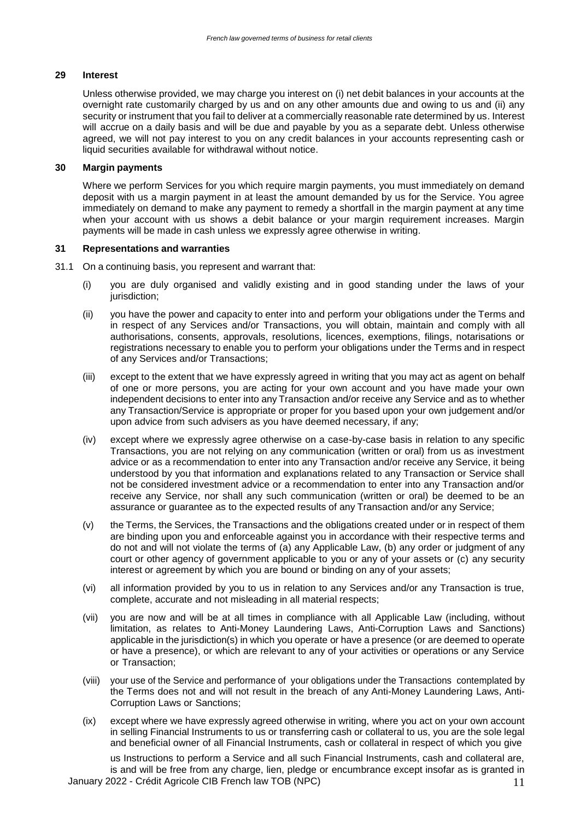## **29 Interest**

Unless otherwise provided, we may charge you interest on (i) net debit balances in your accounts at the overnight rate customarily charged by us and on any other amounts due and owing to us and (ii) any security or instrument that you fail to deliver at a commercially reasonable rate determined by us. Interest will accrue on a daily basis and will be due and payable by you as a separate debt. Unless otherwise agreed, we will not pay interest to you on any credit balances in your accounts representing cash or liquid securities available for withdrawal without notice.

### **30 Margin payments**

Where we perform Services for you which require margin payments, you must immediately on demand deposit with us a margin payment in at least the amount demanded by us for the Service. You agree immediately on demand to make any payment to remedy a shortfall in the margin payment at any time when your account with us shows a debit balance or your margin requirement increases. Margin payments will be made in cash unless we expressly agree otherwise in writing.

## **31 Representations and warranties**

- 31.1 On a continuing basis, you represent and warrant that:
	- (i) you are duly organised and validly existing and in good standing under the laws of your jurisdiction;
	- (ii) you have the power and capacity to enter into and perform your obligations under the Terms and in respect of any Services and/or Transactions, you will obtain, maintain and comply with all authorisations, consents, approvals, resolutions, licences, exemptions, filings, notarisations or registrations necessary to enable you to perform your obligations under the Terms and in respect of any Services and/or Transactions;
	- (iii) except to the extent that we have expressly agreed in writing that you may act as agent on behalf of one or more persons, you are acting for your own account and you have made your own independent decisions to enter into any Transaction and/or receive any Service and as to whether any Transaction/Service is appropriate or proper for you based upon your own judgement and/or upon advice from such advisers as you have deemed necessary, if any;
	- (iv) except where we expressly agree otherwise on a case-by-case basis in relation to any specific Transactions, you are not relying on any communication (written or oral) from us as investment advice or as a recommendation to enter into any Transaction and/or receive any Service, it being understood by you that information and explanations related to any Transaction or Service shall not be considered investment advice or a recommendation to enter into any Transaction and/or receive any Service, nor shall any such communication (written or oral) be deemed to be an assurance or guarantee as to the expected results of any Transaction and/or any Service;
	- (v) the Terms, the Services, the Transactions and the obligations created under or in respect of them are binding upon you and enforceable against you in accordance with their respective terms and do not and will not violate the terms of (a) any Applicable Law, (b) any order or judgment of any court or other agency of government applicable to you or any of your assets or (c) any security interest or agreement by which you are bound or binding on any of your assets;
	- (vi) all information provided by you to us in relation to any Services and/or any Transaction is true, complete, accurate and not misleading in all material respects;
	- (vii) you are now and will be at all times in compliance with all Applicable Law (including, without limitation, as relates to Anti-Money Laundering Laws, Anti-Corruption Laws and Sanctions) applicable in the jurisdiction(s) in which you operate or have a presence (or are deemed to operate or have a presence), or which are relevant to any of your activities or operations or any Service or Transaction;
	- (viii) your use of the Service and performance of your obligations under the Transactions contemplated by the Terms does not and will not result in the breach of any Anti-Money Laundering Laws, Anti-Corruption Laws or Sanctions;
	- (ix) except where we have expressly agreed otherwise in writing, where you act on your own account in selling Financial Instruments to us or transferring cash or collateral to us, you are the sole legal and beneficial owner of all Financial Instruments, cash or collateral in respect of which you give

January 2022 - Crédit Agricole CIB French law TOB (NPC) 11 us Instructions to perform a Service and all such Financial Instruments, cash and collateral are, is and will be free from any charge, lien, pledge or encumbrance except insofar as is granted in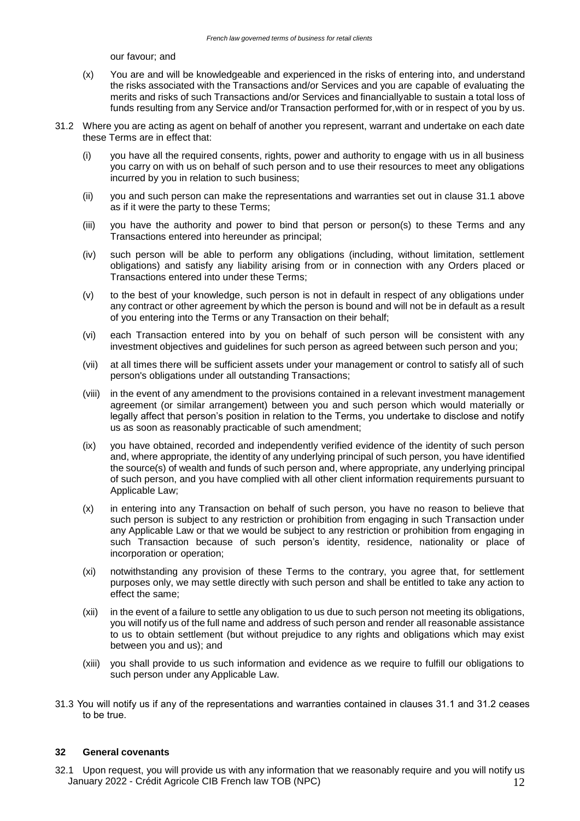our favour; and

- (x) You are and will be knowledgeable and experienced in the risks of entering into, and understand the risks associated with the Transactions and/or Services and you are capable of evaluating the merits and risks of such Transactions and/or Services and financiallyable to sustain a total loss of funds resulting from any Service and/or Transaction performed for,with or in respect of you by us.
- 31.2 Where you are acting as agent on behalf of another you represent, warrant and undertake on each date these Terms are in effect that:
	- (i) you have all the required consents, rights, power and authority to engage with us in all business you carry on with us on behalf of such person and to use their resources to meet any obligations incurred by you in relation to such business;
	- (ii) you and such person can make the representations and warranties set out in clause 31.1 above as if it were the party to these Terms;
	- (iii) you have the authority and power to bind that person or person(s) to these Terms and any Transactions entered into hereunder as principal;
	- (iv) such person will be able to perform any obligations (including, without limitation, settlement obligations) and satisfy any liability arising from or in connection with any Orders placed or Transactions entered into under these Terms;
	- (v) to the best of your knowledge, such person is not in default in respect of any obligations under any contract or other agreement by which the person is bound and will not be in default as a result of you entering into the Terms or any Transaction on their behalf;
	- (vi) each Transaction entered into by you on behalf of such person will be consistent with any investment objectives and guidelines for such person as agreed between such person and you;
	- (vii) at all times there will be sufficient assets under your management or control to satisfy all of such person's obligations under all outstanding Transactions;
	- (viii) in the event of any amendment to the provisions contained in a relevant investment management agreement (or similar arrangement) between you and such person which would materially or legally affect that person's position in relation to the Terms, you undertake to disclose and notify us as soon as reasonably practicable of such amendment;
	- (ix) you have obtained, recorded and independently verified evidence of the identity of such person and, where appropriate, the identity of any underlying principal of such person, you have identified the source(s) of wealth and funds of such person and, where appropriate, any underlying principal of such person, and you have complied with all other client information requirements pursuant to Applicable Law;
	- (x) in entering into any Transaction on behalf of such person, you have no reason to believe that such person is subject to any restriction or prohibition from engaging in such Transaction under any Applicable Law or that we would be subject to any restriction or prohibition from engaging in such Transaction because of such person's identity, residence, nationality or place of incorporation or operation;
	- (xi) notwithstanding any provision of these Terms to the contrary, you agree that, for settlement purposes only, we may settle directly with such person and shall be entitled to take any action to effect the same;
	- (xii) in the event of a failure to settle any obligation to us due to such person not meeting its obligations, you will notify us of the full name and address of such person and render all reasonable assistance to us to obtain settlement (but without prejudice to any rights and obligations which may exist between you and us); and
	- (xiii) you shall provide to us such information and evidence as we require to fulfill our obligations to such person under any Applicable Law.
- 31.3 You will notify us if any of the representations and warranties contained in clauses 31.1 and 31.2 ceases to be true.

### **32 General covenants**

January 2022 - Crédit Agricole CIB French law TOB (NPC) 12 32.1 Upon request, you will provide us with any information that we reasonably require and you will notify us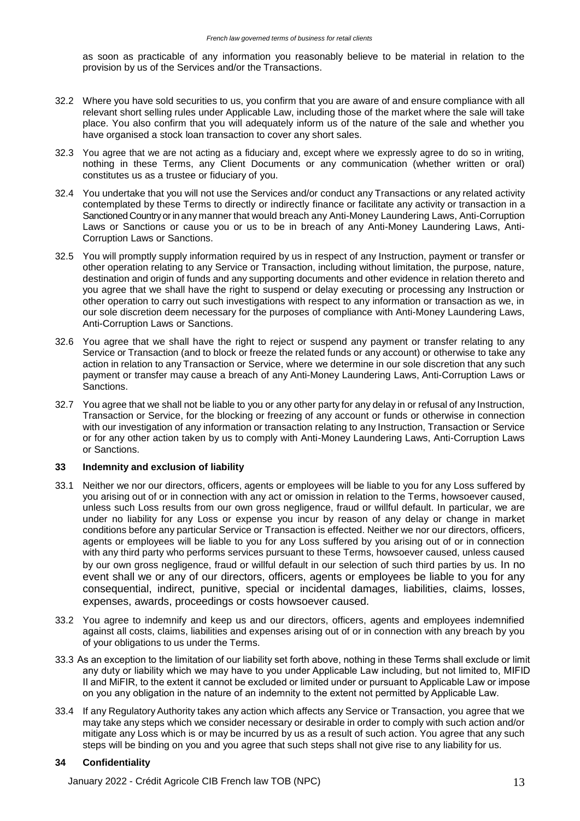as soon as practicable of any information you reasonably believe to be material in relation to the provision by us of the Services and/or the Transactions.

- 32.2 Where you have sold securities to us, you confirm that you are aware of and ensure compliance with all relevant short selling rules under Applicable Law, including those of the market where the sale will take place. You also confirm that you will adequately inform us of the nature of the sale and whether you have organised a stock loan transaction to cover any short sales.
- 32.3 You agree that we are not acting as a fiduciary and, except where we expressly agree to do so in writing, nothing in these Terms, any Client Documents or any communication (whether written or oral) constitutes us as a trustee or fiduciary of you.
- 32.4 You undertake that you will not use the Services and/or conduct any Transactions or any related activity contemplated by these Terms to directly or indirectly finance or facilitate any activity or transaction in a Sanctioned Country or in any manner that would breach any Anti-Money Laundering Laws, Anti-Corruption Laws or Sanctions or cause you or us to be in breach of any Anti-Money Laundering Laws, Anti-Corruption Laws or Sanctions.
- 32.5 You will promptly supply information required by us in respect of any Instruction, payment or transfer or other operation relating to any Service or Transaction, including without limitation, the purpose, nature, destination and origin of funds and any supporting documents and other evidence in relation thereto and you agree that we shall have the right to suspend or delay executing or processing any Instruction or other operation to carry out such investigations with respect to any information or transaction as we, in our sole discretion deem necessary for the purposes of compliance with Anti-Money Laundering Laws, Anti-Corruption Laws or Sanctions.
- 32.6 You agree that we shall have the right to reject or suspend any payment or transfer relating to any Service or Transaction (and to block or freeze the related funds or any account) or otherwise to take any action in relation to any Transaction or Service, where we determine in our sole discretion that any such payment or transfer may cause a breach of any Anti-Money Laundering Laws, Anti-Corruption Laws or Sanctions.
- 32.7 You agree that we shall not be liable to you or any other party for any delay in or refusal of any Instruction, Transaction or Service, for the blocking or freezing of any account or funds or otherwise in connection with our investigation of any information or transaction relating to any Instruction, Transaction or Service or for any other action taken by us to comply with Anti-Money Laundering Laws, Anti-Corruption Laws or Sanctions.

## **33 Indemnity and exclusion of liability**

- 33.1 Neither we nor our directors, officers, agents or employees will be liable to you for any Loss suffered by you arising out of or in connection with any act or omission in relation to the Terms, howsoever caused, unless such Loss results from our own gross negligence, fraud or willful default. In particular, we are under no liability for any Loss or expense you incur by reason of any delay or change in market conditions before any particular Service or Transaction is effected. Neither we nor our directors, officers, agents or employees will be liable to you for any Loss suffered by you arising out of or in connection with any third party who performs services pursuant to these Terms, howsoever caused, unless caused by our own gross negligence, fraud or willful default in our selection of such third parties by us. In no event shall we or any of our directors, officers, agents or employees be liable to you for any consequential, indirect, punitive, special or incidental damages, liabilities, claims, losses, expenses, awards, proceedings or costs howsoever caused.
- 33.2 You agree to indemnify and keep us and our directors, officers, agents and employees indemnified against all costs, claims, liabilities and expenses arising out of or in connection with any breach by you of your obligations to us under the Terms.
- 33.3 As an exception to the limitation of our liability set forth above, nothing in these Terms shall exclude or limit any duty or liability which we may have to you under Applicable Law including, but not limited to, MIFID II and MiFIR, to the extent it cannot be excluded or limited under or pursuant to Applicable Law or impose on you any obligation in the nature of an indemnity to the extent not permitted by Applicable Law.
- 33.4 If any Regulatory Authority takes any action which affects any Service or Transaction, you agree that we may take any steps which we consider necessary or desirable in order to comply with such action and/or mitigate any Loss which is or may be incurred by us as a result of such action. You agree that any such steps will be binding on you and you agree that such steps shall not give rise to any liability for us.

## **34 Confidentiality**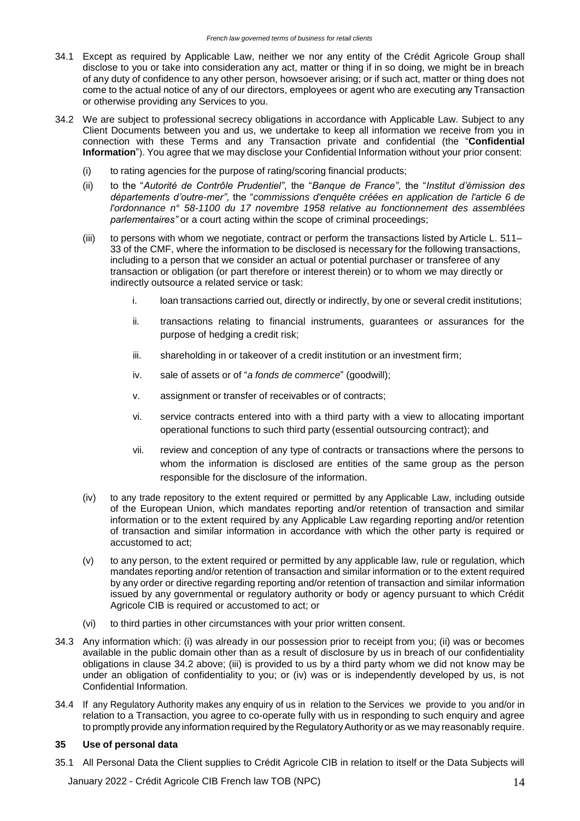- 34.1 Except as required by Applicable Law, neither we nor any entity of the Crédit Agricole Group shall disclose to you or take into consideration any act, matter or thing if in so doing, we might be in breach of any duty of confidence to any other person, howsoever arising; or if such act, matter or thing does not come to the actual notice of any of our directors, employees or agent who are executing anyTransaction or otherwise providing any Services to you.
- 34.2 We are subject to professional secrecy obligations in accordance with Applicable Law. Subject to any Client Documents between you and us, we undertake to keep all information we receive from you in connection with these Terms and any Transaction private and confidential (the "**Confidential Information**"). You agree that we may disclose your Confidential Information without your prior consent:
	- (i) to rating agencies for the purpose of rating/scoring financial products;
	- (ii) to the "*Autorité de Contrôle Prudentiel"*, the "*Banque de France"*, the "*Institut d'émission des départements d'outre-mer"*, the "*commissions d'enquête créées en application de [l'article 6 d](https://www.legifrance.gouv.fr/affichTexteArticle.do?cidTexte=JORFTEXT000000705067&idArticle=LEGIARTI000006530047&dateTexte&categorieLien=cid)e l'ordonnance n° 58-1100 du 17 novembre 1958 relative au fonctionnement des assemblées parlementaires"* or a court acting within the scope of criminal proceedings;
	- (iii) to persons with whom we negotiate, contract or perform the transactions listed by Article L. 511– 33 of the CMF, where the information to be disclosed is necessary for the following transactions, including to a person that we consider an actual or potential purchaser or transferee of any transaction or obligation (or part therefore or interest therein) or to whom we may directly or indirectly outsource a related service or task:
		- i. loan transactions carried out, directly or indirectly, by one or several credit institutions;
		- ii. transactions relating to financial instruments, guarantees or assurances for the purpose of hedging a credit risk;
		- iii. shareholding in or takeover of a credit institution or an investment firm;
		- iv. sale of assets or of "*a fonds de commerce*" (goodwill);
		- v. assignment or transfer of receivables or of contracts;
		- vi. service contracts entered into with a third party with a view to allocating important operational functions to such third party (essential outsourcing contract); and
		- vii. review and conception of any type of contracts or transactions where the persons to whom the information is disclosed are entities of the same group as the person responsible for the disclosure of the information.
	- (iv) to any trade repository to the extent required or permitted by any Applicable Law, including outside of the European Union, which mandates reporting and/or retention of transaction and similar information or to the extent required by any Applicable Law regarding reporting and/or retention of transaction and similar information in accordance with which the other party is required or accustomed to act;
	- (v) to any person, to the extent required or permitted by any applicable law, rule or regulation, which mandates reporting and/or retention of transaction and similar information or to the extent required by any order or directive regarding reporting and/or retention of transaction and similar information issued by any governmental or regulatory authority or body or agency pursuant to which Crédit Agricole CIB is required or accustomed to act; or
	- (vi) to third parties in other circumstances with your prior written consent.
- 34.3 Any information which: (i) was already in our possession prior to receipt from you; (ii) was or becomes available in the public domain other than as a result of disclosure by us in breach of our confidentiality obligations in clause 34.2 above; (iii) is provided to us by a third party whom we did not know may be under an obligation of confidentiality to you; or (iv) was or is independently developed by us, is not Confidential Information.
- 34.4 If any Regulatory Authority makes any enquiry of us in relation to the Services we provide to you and/or in relation to a Transaction, you agree to co-operate fully with us in responding to such enquiry and agree to promptly provide any information required by the Regulatory Authority or as we may reasonably require.

### **35 Use of personal data**

35.1 All Personal Data the Client supplies to Crédit Agricole CIB in relation to itself or the Data Subjects will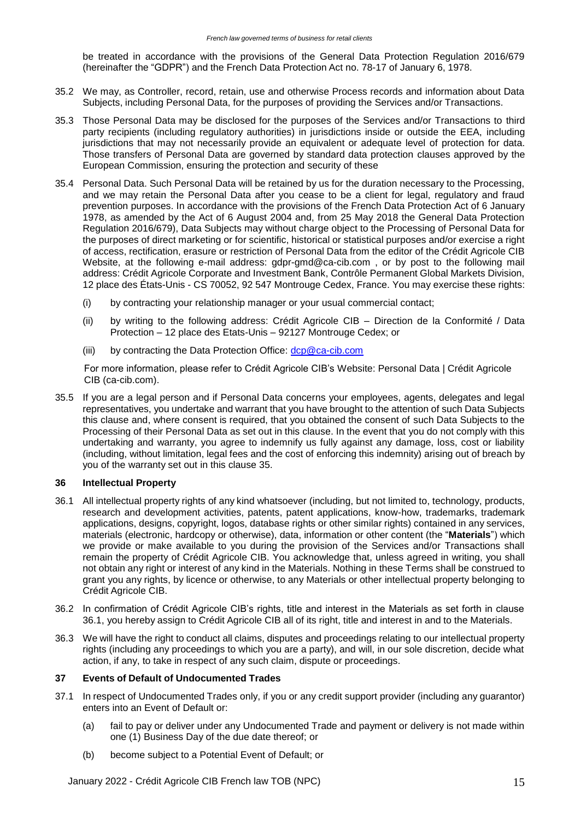be treated in accordance with the provisions of the General Data Protection Regulation 2016/679 (hereinafter the "GDPR") and the French Data Protection Act no. 78-17 of January 6, 1978.

- 35.2 We may, as Controller, record, retain, use and otherwise Process records and information about Data Subjects, including Personal Data, for the purposes of providing the Services and/or Transactions.
- 35.3 Those Personal Data may be disclosed for the purposes of the Services and/or Transactions to third party recipients (including regulatory authorities) in jurisdictions inside or outside the EEA, including jurisdictions that may not necessarily provide an equivalent or adequate level of protection for data. Those transfers of Personal Data are governed by standard data protection clauses approved by the European Commission, ensuring the protection and security of these
- 35.4 Personal Data. Such Personal Data will be retained by us for the duration necessary to the Processing, and we may retain the Personal Data after you cease to be a client for legal, regulatory and fraud prevention purposes. In accordance with the provisions of the French Data Protection Act of 6 January 1978, as amended by the Act of 6 August 2004 and, from 25 May 2018 the General Data Protection Regulation 2016/679), Data Subjects may without charge object to the Processing of Personal Data for the purposes of direct marketing or for scientific, historical or statistical purposes and/or exercise a right of access, rectification, erasure or restriction of Personal Data from the editor of the Crédit Agricole CIB Website, at the following e-mail address: [gdpr-gmd@ca-cib.com](mailto:gdpr-gmd@ca-cib.com), or by post to the following mail address: Crédit Agricole Corporate and Investment Bank, Contrôle Permanent Global Markets Division, 12 place des États-Unis - CS 70052, 92 547 Montrouge Cedex, France. You may exercise these rights:
	- (i) by contracting your relationship manager or your usual commercial contact;
	- (ii) by writing to the following address: Crédit Agricole CIB Direction de la Conformité / Data Protection – 12 place des Etats-Unis – 92127 Montrouge Cedex; or
	- (iii) by contracting the Data Protection Office: [dcp@ca-cib.com](mailto:dcp@ca-cib.com)

For more information, please refer to Crédit Agricole CIB's Website: Personal Data | Crédit Agricole CIB (ca-cib.com).

35.5 If you are a legal person and if Personal Data concerns your employees, agents, delegates and legal representatives, you undertake and warrant that you have brought to the attention of such Data Subjects this clause and, where consent is required, that you obtained the consent of such Data Subjects to the Processing of their Personal Data as set out in this clause. In the event that you do not comply with this undertaking and warranty, you agree to indemnify us fully against any damage, loss, cost or liability (including, without limitation, legal fees and the cost of enforcing this indemnity) arising out of breach by you of the warranty set out in this clause 35.

## **36 Intellectual Property**

- 36.1 All intellectual property rights of any kind whatsoever (including, but not limited to, technology, products, research and development activities, patents, patent applications, know-how, trademarks, trademark applications, designs, copyright, logos, database rights or other similar rights) contained in any services, materials (electronic, hardcopy or otherwise), data, information or other content (the "**Materials**") which we provide or make available to you during the provision of the Services and/or Transactions shall remain the property of Crédit Agricole CIB. You acknowledge that, unless agreed in writing, you shall not obtain any right or interest of any kind in the Materials. Nothing in these Terms shall be construed to grant you any rights, by licence or otherwise, to any Materials or other intellectual property belonging to Crédit Agricole CIB.
- 36.2 In confirmation of Crédit Agricole CIB's rights, title and interest in the Materials as set forth in clause 36.1, you hereby assign to Crédit Agricole CIB all of its right, title and interest in and to the Materials.
- 36.3 We will have the right to conduct all claims, disputes and proceedings relating to our intellectual property rights (including any proceedings to which you are a party), and will, in our sole discretion, decide what action, if any, to take in respect of any such claim, dispute or proceedings.

## **37 Events of Default of Undocumented Trades**

- 37.1 In respect of Undocumented Trades only, if you or any credit support provider (including any guarantor) enters into an Event of Default or:
	- (a) fail to pay or deliver under any Undocumented Trade and payment or delivery is not made within one (1) Business Day of the due date thereof; or
	- (b) become subject to a Potential Event of Default; or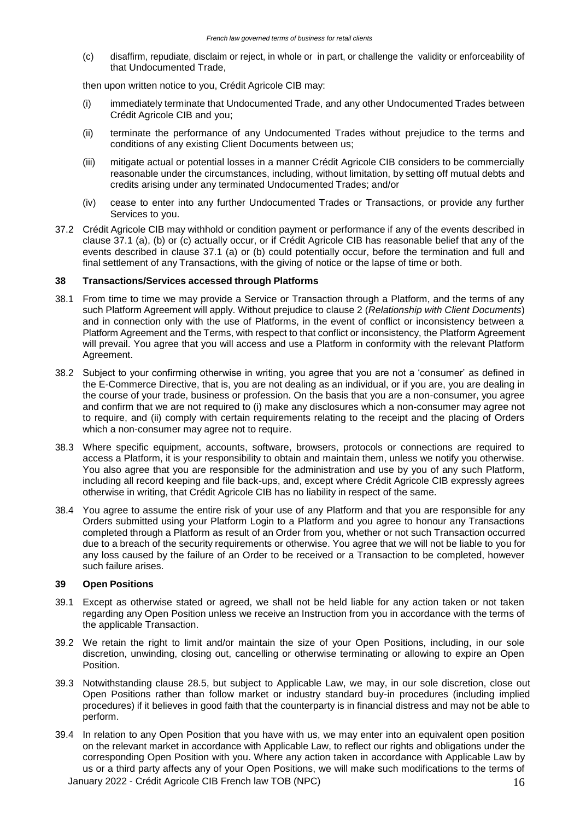(c) disaffirm, repudiate, disclaim or reject, in whole or in part, or challenge the validity or enforceability of that Undocumented Trade,

then upon written notice to you, Crédit Agricole CIB may:

- (i) immediately terminate that Undocumented Trade, and any other Undocumented Trades between Crédit Agricole CIB and you;
- (ii) terminate the performance of any Undocumented Trades without prejudice to the terms and conditions of any existing Client Documents between us;
- (iii) mitigate actual or potential losses in a manner Crédit Agricole CIB considers to be commercially reasonable under the circumstances, including, without limitation, by setting off mutual debts and credits arising under any terminated Undocumented Trades; and/or
- (iv) cease to enter into any further Undocumented Trades or Transactions, or provide any further Services to you.
- 37.2 Crédit Agricole CIB may withhold or condition payment or performance if any of the events described in clause 37.1 (a), (b) or (c) actually occur, or if Crédit Agricole CIB has reasonable belief that any of the events described in clause 37.1 (a) or (b) could potentially occur, before the termination and full and final settlement of any Transactions, with the giving of notice or the lapse of time or both.

### **38 Transactions/Services accessed through Platforms**

- 38.1 From time to time we may provide a Service or Transaction through a Platform, and the terms of any such Platform Agreement will apply. Without prejudice to clause 2 (*Relationship with Client Documents*) and in connection only with the use of Platforms, in the event of conflict or inconsistency between a Platform Agreement and the Terms, with respect to that conflict or inconsistency, the Platform Agreement will prevail. You agree that you will access and use a Platform in conformity with the relevant Platform Agreement.
- 38.2 Subject to your confirming otherwise in writing, you agree that you are not a 'consumer' as defined in the E-Commerce Directive, that is, you are not dealing as an individual, or if you are, you are dealing in the course of your trade, business or profession. On the basis that you are a non-consumer, you agree and confirm that we are not required to (i) make any disclosures which a non-consumer may agree not to require, and (ii) comply with certain requirements relating to the receipt and the placing of Orders which a non-consumer may agree not to require.
- 38.3 Where specific equipment, accounts, software, browsers, protocols or connections are required to access a Platform, it is your responsibility to obtain and maintain them, unless we notify you otherwise. You also agree that you are responsible for the administration and use by you of any such Platform, including all record keeping and file back-ups, and, except where Crédit Agricole CIB expressly agrees otherwise in writing, that Crédit Agricole CIB has no liability in respect of the same.
- 38.4 You agree to assume the entire risk of your use of any Platform and that you are responsible for any Orders submitted using your Platform Login to a Platform and you agree to honour any Transactions completed through a Platform as result of an Order from you, whether or not such Transaction occurred due to a breach of the security requirements or otherwise. You agree that we will not be liable to you for any loss caused by the failure of an Order to be received or a Transaction to be completed, however such failure arises.

### **39 Open Positions**

- 39.1 Except as otherwise stated or agreed, we shall not be held liable for any action taken or not taken regarding any Open Position unless we receive an Instruction from you in accordance with the terms of the applicable Transaction.
- 39.2 We retain the right to limit and/or maintain the size of your Open Positions, including, in our sole discretion, unwinding, closing out, cancelling or otherwise terminating or allowing to expire an Open Position.
- 39.3 Notwithstanding clause 28.5, but subject to Applicable Law, we may, in our sole discretion, close out Open Positions rather than follow market or industry standard buy-in procedures (including implied procedures) if it believes in good faith that the counterparty is in financial distress and may not be able to perform.
- January 2022 Crédit Agricole CIB French law TOB (NPC)  $16$ 39.4 In relation to any Open Position that you have with us, we may enter into an equivalent open position on the relevant market in accordance with Applicable Law, to reflect our rights and obligations under the corresponding Open Position with you. Where any action taken in accordance with Applicable Law by us or a third party affects any of your Open Positions, we will make such modifications to the terms of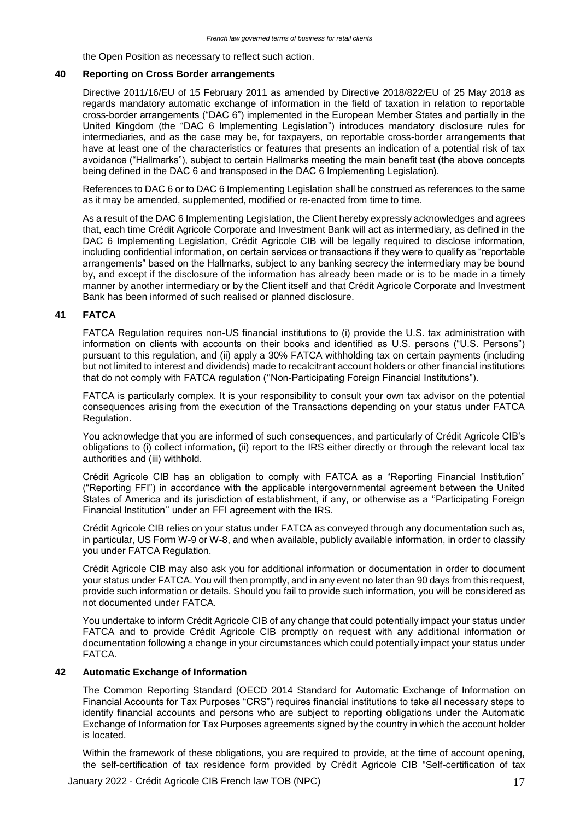the Open Position as necessary to reflect such action.

### **40 Reporting on Cross Border arrangements**

Directive 2011/16/EU of 15 February 2011 as amended by Directive 2018/822/EU of 25 May 2018 as regards mandatory automatic exchange of information in the field of taxation in relation to reportable cross-border arrangements ("DAC 6") implemented in the European Member States and partially in the United Kingdom (the "DAC 6 Implementing Legislation") introduces mandatory disclosure rules for intermediaries, and as the case may be, for taxpayers, on reportable cross-border arrangements that have at least one of the characteristics or features that presents an indication of a potential risk of tax avoidance ("Hallmarks"), subject to certain Hallmarks meeting the main benefit test (the above concepts being defined in the DAC 6 and transposed in the DAC 6 Implementing Legislation).

References to DAC 6 or to DAC 6 Implementing Legislation shall be construed as references to the same as it may be amended, supplemented, modified or re-enacted from time to time.

As a result of the DAC 6 Implementing Legislation, the Client hereby expressly acknowledges and agrees that, each time Crédit Agricole Corporate and Investment Bank will act as intermediary, as defined in the DAC 6 Implementing Legislation, Crédit Agricole CIB will be legally required to disclose information, including confidential information, on certain services or transactions if they were to qualify as "reportable arrangements" based on the Hallmarks, subject to any banking secrecy the intermediary may be bound by, and except if the disclosure of the information has already been made or is to be made in a timely manner by another intermediary or by the Client itself and that Crédit Agricole Corporate and Investment Bank has been informed of such realised or planned disclosure.

## **41 FATCA**

FATCA Regulation requires non-US financial institutions to (i) provide the U.S. tax administration with information on clients with accounts on their books and identified as U.S. persons ("U.S. Persons") pursuant to this regulation, and (ii) apply a 30% FATCA withholding tax on certain payments (including but not limited to interest and dividends) made to recalcitrant account holders or other financial institutions that do not comply with FATCA regulation (''Non-Participating Foreign Financial Institutions").

FATCA is particularly complex. It is your responsibility to consult your own tax advisor on the potential consequences arising from the execution of the Transactions depending on your status under FATCA Regulation.

You acknowledge that you are informed of such consequences, and particularly of Crédit Agricole CIB's obligations to (i) collect information, (ii) report to the IRS either directly or through the relevant local tax authorities and (iii) withhold.

Crédit Agricole CIB has an obligation to comply with FATCA as a "Reporting Financial Institution" ("Reporting FFI") in accordance with the applicable intergovernmental agreement between the United States of America and its jurisdiction of establishment, if any, or otherwise as a ''Participating Foreign Financial Institution'' under an FFI agreement with the IRS.

Crédit Agricole CIB relies on your status under FATCA as conveyed through any documentation such as, in particular, US Form W-9 or W-8, and when available, publicly available information, in order to classify you under FATCA Regulation.

Crédit Agricole CIB may also ask you for additional information or documentation in order to document your status under FATCA. You will then promptly, and in any event no later than 90 days from this request, provide such information or details. Should you fail to provide such information, you will be considered as not documented under FATCA.

You undertake to inform Crédit Agricole CIB of any change that could potentially impact your status under FATCA and to provide Crédit Agricole CIB promptly on request with any additional information or documentation following a change in your circumstances which could potentially impact your status under FATCA.

### **42 Automatic Exchange of Information**

The Common Reporting Standard (OECD 2014 Standard for Automatic Exchange of Information on Financial Accounts for Tax Purposes "CRS") requires financial institutions to take all necessary steps to identify financial accounts and persons who are subject to reporting obligations under the Automatic Exchange of Information for Tax Purposes agreements signed by the country in which the account holder is located.

Within the framework of these obligations, you are required to provide, at the time of account opening, the self-certification of tax residence form provided by Crédit Agricole CIB "Self-certification of tax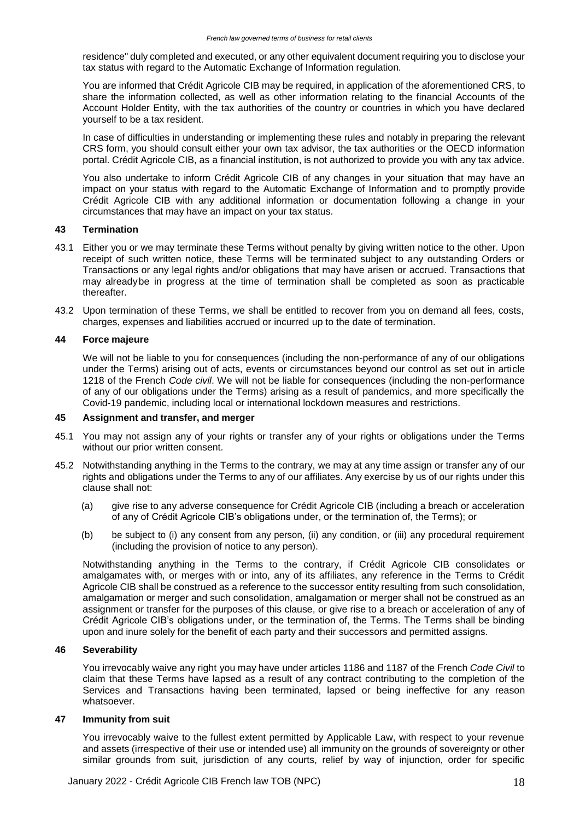residence" duly completed and executed, or any other equivalent document requiring you to disclose your tax status with regard to the Automatic Exchange of Information regulation.

You are informed that Crédit Agricole CIB may be required, in application of the aforementioned CRS, to share the information collected, as well as other information relating to the financial Accounts of the Account Holder Entity, with the tax authorities of the country or countries in which you have declared yourself to be a tax resident.

In case of difficulties in understanding or implementing these rules and notably in preparing the relevant CRS form, you should consult either your own tax advisor, the tax authorities or the OECD information portal. Crédit Agricole CIB, as a financial institution, is not authorized to provide you with any tax advice.

You also undertake to inform Crédit Agricole CIB of any changes in your situation that may have an impact on your status with regard to the Automatic Exchange of Information and to promptly provide Crédit Agricole CIB with any additional information or documentation following a change in your circumstances that may have an impact on your tax status.

## **43 Termination**

- 43.1 Either you or we may terminate these Terms without penalty by giving written notice to the other. Upon receipt of such written notice, these Terms will be terminated subject to any outstanding Orders or Transactions or any legal rights and/or obligations that may have arisen or accrued. Transactions that may alreadybe in progress at the time of termination shall be completed as soon as practicable thereafter.
- 43.2 Upon termination of these Terms, we shall be entitled to recover from you on demand all fees, costs, charges, expenses and liabilities accrued or incurred up to the date of termination.

### **44 Force majeure**

We will not be liable to you for consequences (including the non-performance of any of our obligations under the Terms) arising out of acts, events or circumstances beyond our control as set out in article 1218 of the French *Code civil*. We will not be liable for consequences (including the non-performance of any of our obligations under the Terms) arising as a result of pandemics, and more specifically the Covid-19 pandemic, including local or international lockdown measures and restrictions.

### **45 Assignment and transfer, and merger**

- 45.1 You may not assign any of your rights or transfer any of your rights or obligations under the Terms without our prior written consent.
- 45.2 Notwithstanding anything in the Terms to the contrary, we may at any time assign or transfer any of our rights and obligations under the Terms to any of our affiliates. Any exercise by us of our rights under this clause shall not:
	- (a) give rise to any adverse consequence for Crédit Agricole CIB (including a breach or acceleration of any of Crédit Agricole CIB's obligations under, or the termination of, the Terms); or
	- (b) be subject to (i) any consent from any person, (ii) any condition, or (iii) any procedural requirement (including the provision of notice to any person).

Notwithstanding anything in the Terms to the contrary, if Crédit Agricole CIB consolidates or amalgamates with, or merges with or into, any of its affiliates, any reference in the Terms to Crédit Agricole CIB shall be construed as a reference to the successor entity resulting from such consolidation, amalgamation or merger and such consolidation, amalgamation or merger shall not be construed as an assignment or transfer for the purposes of this clause, or give rise to a breach or acceleration of any of Crédit Agricole CIB's obligations under, or the termination of, the Terms. The Terms shall be binding upon and inure solely for the benefit of each party and their successors and permitted assigns.

### **46 Severability**

You irrevocably waive any right you may have under articles 1186 and 1187 of the French *Code Civil* to claim that these Terms have lapsed as a result of any contract contributing to the completion of the Services and Transactions having been terminated, lapsed or being ineffective for any reason whatsoever.

### **47 Immunity from suit**

You irrevocably waive to the fullest extent permitted by Applicable Law, with respect to your revenue and assets (irrespective of their use or intended use) all immunity on the grounds of sovereignty or other similar grounds from suit, jurisdiction of any courts, relief by way of injunction, order for specific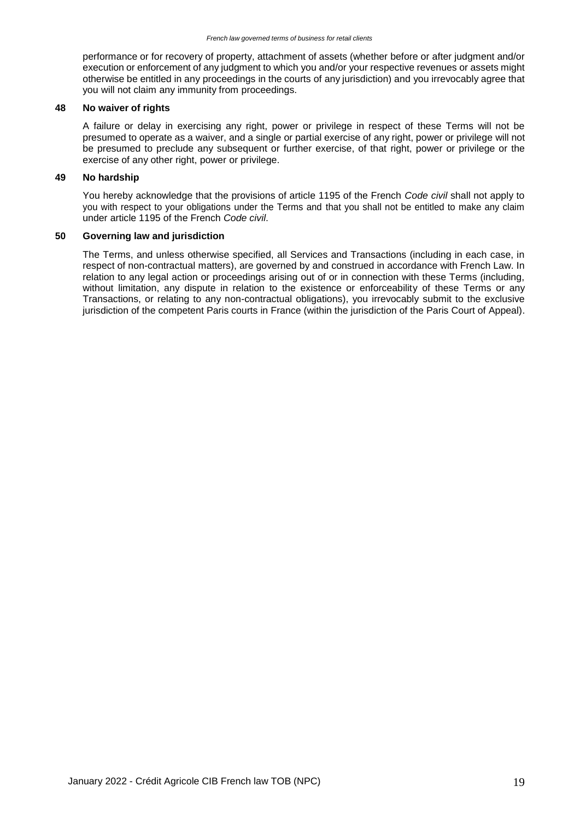performance or for recovery of property, attachment of assets (whether before or after judgment and/or execution or enforcement of any judgment to which you and/or your respective revenues or assets might otherwise be entitled in any proceedings in the courts of any jurisdiction) and you irrevocably agree that you will not claim any immunity from proceedings.

#### **48 No waiver of rights**

A failure or delay in exercising any right, power or privilege in respect of these Terms will not be presumed to operate as a waiver, and a single or partial exercise of any right, power or privilege will not be presumed to preclude any subsequent or further exercise, of that right, power or privilege or the exercise of any other right, power or privilege.

### **49 No hardship**

You hereby acknowledge that the provisions of article 1195 of the French *Code civil* shall not apply to you with respect to your obligations under the Terms and that you shall not be entitled to make any claim under article 1195 of the French *Code civil*.

### **50 Governing law and jurisdiction**

The Terms, and unless otherwise specified, all Services and Transactions (including in each case, in respect of non-contractual matters), are governed by and construed in accordance with French Law. In relation to any legal action or proceedings arising out of or in connection with these Terms (including, without limitation, any dispute in relation to the existence or enforceability of these Terms or any Transactions, or relating to any non-contractual obligations), you irrevocably submit to the exclusive jurisdiction of the competent Paris courts in France (within the jurisdiction of the Paris Court of Appeal).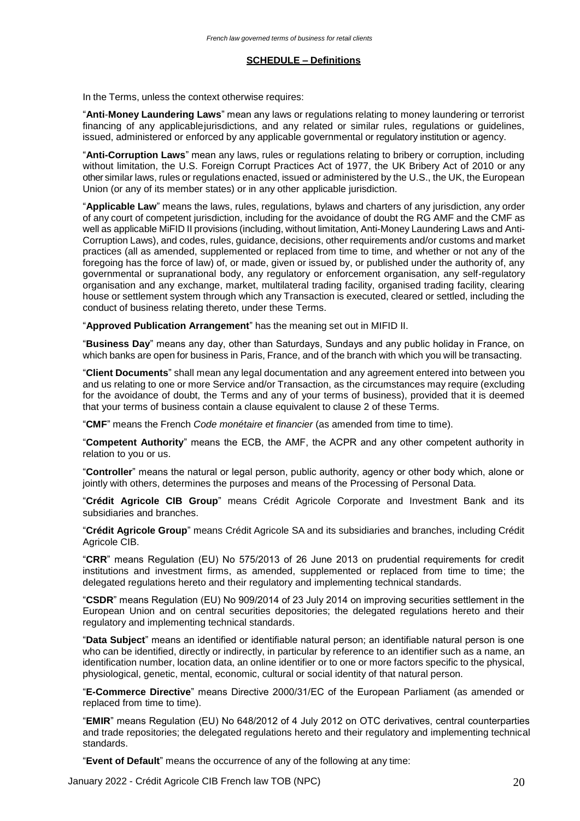#### **SCHEDULE – Definitions**

In the Terms, unless the context otherwise requires:

"**Anti**-**Money Laundering Laws**" mean any laws or regulations relating to money laundering or terrorist financing of any applicablejurisdictions, and any related or similar rules, regulations or guidelines, issued, administered or enforced by any applicable governmental or regulatory institution or agency.

"**Anti-Corruption Laws**" mean any laws, rules or regulations relating to bribery or corruption, including without limitation, the U.S. Foreign Corrupt Practices Act of 1977, the UK Bribery Act of 2010 or any other similar laws, rules or regulations enacted, issued or administered by the U.S., the UK, the European Union (or any of its member states) or in any other applicable jurisdiction.

"**Applicable Law**" means the laws, rules, regulations, bylaws and charters of any jurisdiction, any order of any court of competent jurisdiction, including for the avoidance of doubt the RG AMF and the CMF as well as applicable MiFID II provisions (including, without limitation, Anti-Money Laundering Laws and Anti-Corruption Laws), and codes, rules, guidance, decisions, other requirements and/or customs and market practices (all as amended, supplemented or replaced from time to time, and whether or not any of the foregoing has the force of law) of, or made, given or issued by, or published under the authority of, any governmental or supranational body, any regulatory or enforcement organisation, any self-regulatory organisation and any exchange, market, multilateral trading facility, organised trading facility, clearing house or settlement system through which any Transaction is executed, cleared or settled, including the conduct of business relating thereto, under these Terms.

"**Approved Publication Arrangement**" has the meaning set out in MIFID II.

"**Business Day**" means any day, other than Saturdays, Sundays and any public holiday in France, on which banks are open for business in Paris, France, and of the branch with which you will be transacting.

"**Client Documents**" shall mean any legal documentation and any agreement entered into between you and us relating to one or more Service and/or Transaction, as the circumstances may require (excluding for the avoidance of doubt, the Terms and any of your terms of business), provided that it is deemed that your terms of business contain a clause equivalent to clause 2 of these Terms.

"**CMF**" means the French *Code monétaire et financier* (as amended from time to time).

"**Competent Authority**" means the ECB, the AMF, the ACPR and any other competent authority in relation to you or us.

"**Controller**" means the natural or legal person, public authority, agency or other body which, alone or jointly with others, determines the purposes and means of the Processing of Personal Data.

"**Crédit Agricole CIB Group**" means Crédit Agricole Corporate and Investment Bank and its subsidiaries and branches.

"**Crédit Agricole Group**" means Crédit Agricole SA and its subsidiaries and branches, including Crédit Agricole CIB.

"**CRR**" means Regulation (EU) No 575/2013 of 26 June 2013 on prudential requirements for credit institutions and investment firms, as amended, supplemented or replaced from time to time; the delegated regulations hereto and their regulatory and implementing technical standards.

"**CSDR**" means Regulation (EU) No 909/2014 of 23 July 2014 on improving securities settlement in the European Union and on central securities depositories; the delegated regulations hereto and their regulatory and implementing technical standards.

"**Data Subject**" means an identified or identifiable natural person; an identifiable natural person is one who can be identified, directly or indirectly, in particular by reference to an identifier such as a name, an identification number, location data, an online identifier or to one or more factors specific to the physical, physiological, genetic, mental, economic, cultural or social identity of that natural person.

"**E-Commerce Directive**" means Directive 2000/31/EC of the European Parliament (as amended or replaced from time to time).

"**EMIR**" means Regulation (EU) No 648/2012 of 4 July 2012 on OTC derivatives, central counterparties and trade repositories; the delegated regulations hereto and their regulatory and implementing technical standards.

"**Event of Default**" means the occurrence of any of the following at any time:

January 2022 - Crédit Agricole CIB French law TOB (NPC) 20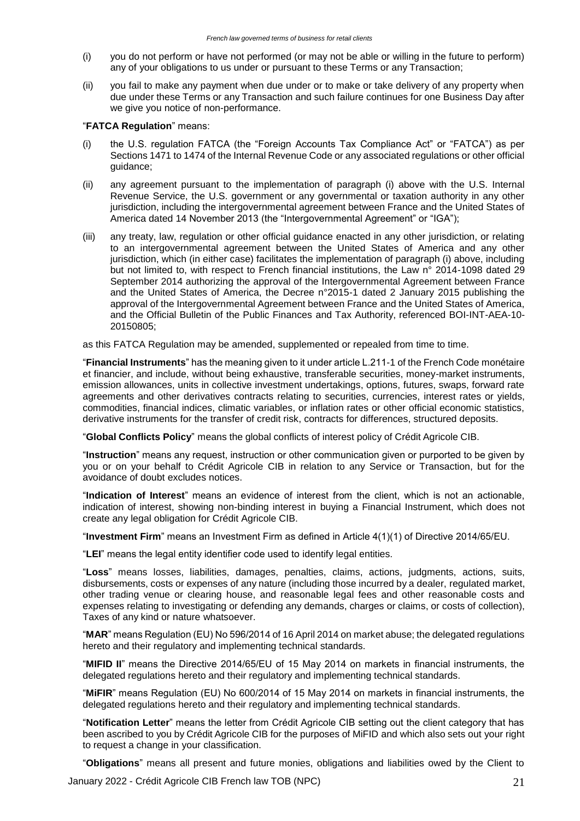- (i) you do not perform or have not performed (or may not be able or willing in the future to perform) any of your obligations to us under or pursuant to these Terms or any Transaction;
- (ii) you fail to make any payment when due under or to make or take delivery of any property when due under these Terms or any Transaction and such failure continues for one Business Day after we give you notice of non-performance.

### "**FATCA Regulation**" means:

- (i) the U.S. regulation FATCA (the "Foreign Accounts Tax Compliance Act" or "FATCA") as per Sections 1471 to 1474 of the Internal Revenue Code or any associated regulations or other official guidance;
- (ii) any agreement pursuant to the implementation of paragraph (i) above with the U.S. Internal Revenue Service, the U.S. government or any governmental or taxation authority in any other jurisdiction, including the intergovernmental agreement between France and the United States of America dated 14 November 2013 (the "Intergovernmental Agreement" or "IGA");
- (iii) any treaty, law, regulation or other official guidance enacted in any other jurisdiction, or relating to an intergovernmental agreement between the United States of America and any other jurisdiction, which (in either case) facilitates the implementation of paragraph (i) above, including but not limited to, with respect to French financial institutions, the Law n° 2014-1098 dated 29 September 2014 authorizing the approval of the Intergovernmental Agreement between France and the United States of America, the Decree n°2015-1 dated 2 January 2015 publishing the approval of the Intergovernmental Agreement between France and the United States of America, and the Official Bulletin of the Public Finances and Tax Authority, referenced BOI-INT-AEA-10- 20150805;

as this FATCA Regulation may be amended, supplemented or repealed from time to time.

"**Financial Instruments**" has the meaning given to it under article L.211-1 of the French Code monétaire et financier, and include, without being exhaustive, transferable securities, money-market instruments, emission allowances, units in collective investment undertakings, options, futures, swaps, forward rate agreements and other derivatives contracts relating to securities, currencies, interest rates or yields, commodities, financial indices, climatic variables, or inflation rates or other official economic statistics, derivative instruments for the transfer of credit risk, contracts for differences, structured deposits.

"**Global Conflicts Policy**" means the global conflicts of interest policy of Crédit Agricole CIB.

"**Instruction**" means any request, instruction or other communication given or purported to be given by you or on your behalf to Crédit Agricole CIB in relation to any Service or Transaction, but for the avoidance of doubt excludes notices.

"**Indication of Interest**" means an evidence of interest from the client, which is not an actionable, indication of interest, showing non-binding interest in buying a Financial Instrument, which does not create any legal obligation for Crédit Agricole CIB.

"**Investment Firm**" means an Investment Firm as defined in Article 4(1)(1) of Directive 2014/65/EU.

"**LEI**" means the legal entity identifier code used to identify legal entities.

"**Loss**" means losses, liabilities, damages, penalties, claims, actions, judgments, actions, suits, disbursements, costs or expenses of any nature (including those incurred by a dealer, regulated market, other trading venue or clearing house, and reasonable legal fees and other reasonable costs and expenses relating to investigating or defending any demands, charges or claims, or costs of collection), Taxes of any kind or nature whatsoever.

"**MAR**" means Regulation (EU) No 596/2014 of 16 April 2014 on market abuse; the delegated regulations hereto and their regulatory and implementing technical standards.

"**MIFID II**" means the Directive 2014/65/EU of 15 May 2014 on markets in financial instruments, the delegated regulations hereto and their regulatory and implementing technical standards.

"**MiFIR**" means Regulation (EU) No 600/2014 of 15 May 2014 on markets in financial instruments, the delegated regulations hereto and their regulatory and implementing technical standards.

"**Notification Letter**" means the letter from Crédit Agricole CIB setting out the client category that has been ascribed to you by Crédit Agricole CIB for the purposes of MiFID and which also sets out your right to request a change in your classification.

"**Obligations**" means all present and future monies, obligations and liabilities owed by the Client to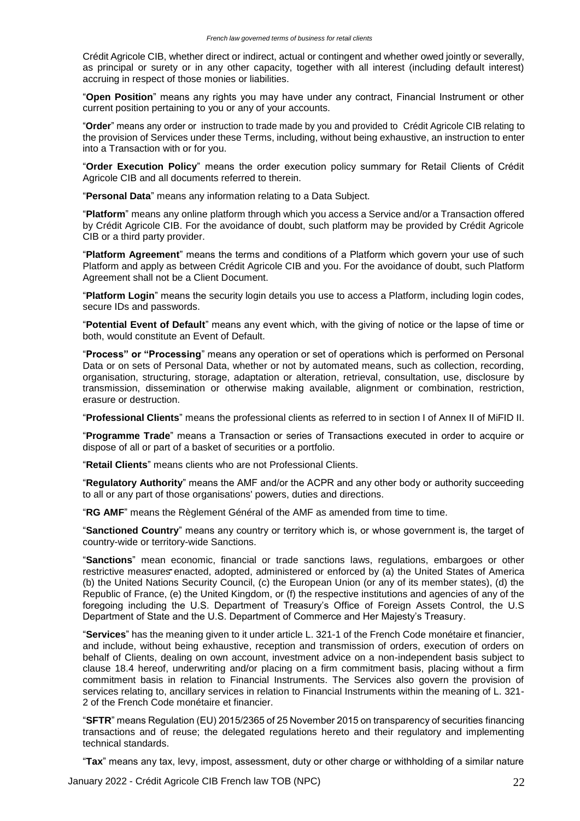Crédit Agricole CIB, whether direct or indirect, actual or contingent and whether owed jointly or severally, as principal or surety or in any other capacity, together with all interest (including default interest) accruing in respect of those monies or liabilities.

"**Open Position**" means any rights you may have under any contract, Financial Instrument or other current position pertaining to you or any of your accounts.

"**Order**" means any order or instruction to trade made by you and provided to Crédit Agricole CIB relating to the provision of Services under these Terms, including, without being exhaustive, an instruction to enter into a Transaction with or for you.

"**Order Execution Policy**" means the order execution policy summary for Retail Clients of Crédit Agricole CIB and all documents referred to therein.

"**Personal Data**" means any information relating to a Data Subject.

"**Platform**" means any online platform through which you access a Service and/or a Transaction offered by Crédit Agricole CIB. For the avoidance of doubt, such platform may be provided by Crédit Agricole CIB or a third party provider.

"**Platform Agreement**" means the terms and conditions of a Platform which govern your use of such Platform and apply as between Crédit Agricole CIB and you. For the avoidance of doubt, such Platform Agreement shall not be a Client Document.

"**Platform Login**" means the security login details you use to access a Platform, including login codes, secure IDs and passwords.

"**Potential Event of Default**" means any event which, with the giving of notice or the lapse of time or both, would constitute an Event of Default.

"**Process" or "Processing**" means any operation or set of operations which is performed on Personal Data or on sets of Personal Data, whether or not by automated means, such as collection, recording, organisation, structuring, storage, adaptation or alteration, retrieval, consultation, use, disclosure by transmission, dissemination or otherwise making available, alignment or combination, restriction, erasure or destruction.

"**Professional Clients**" means the professional clients as referred to in section I of Annex II of MiFID II.

"**Programme Trade**" means a Transaction or series of Transactions executed in order to acquire or dispose of all or part of a basket of securities or a portfolio.

"**Retail Clients**" means clients who are not Professional Clients.

"**Regulatory Authority**" means the AMF and/or the ACPR and any other body or authority succeeding to all or any part of those organisations' powers, duties and directions.

"**RG AMF**" means the Règlement Général of the AMF as amended from time to time.

"**Sanctioned Country**" means any country or territory which is, or whose government is, the target of country-wide or territory-wide Sanctions.

"**Sanctions**" mean economic, financial or trade sanctions laws, regulations, embargoes or other restrictive measures enacted, adopted, administered or enforced by (a) the United States of America (b) the United Nations Security Council, (c) the European Union (or any of its member states), (d) the Republic of France, (e) the United Kingdom, or (f) the respective institutions and agencies of any of the foregoing including the U.S. Department of Treasury's Office of Foreign Assets Control, the U.S Department of State and the U.S. Department of Commerce and Her Majesty's Treasury.

"**Services**" has the meaning given to it under article L. 321-1 of the French Code monétaire et financier, and include, without being exhaustive, reception and transmission of orders, execution of orders on behalf of Clients, dealing on own account, investment advice on a non-independent basis subject to clause 18.4 hereof, underwriting and/or placing on a firm commitment basis, placing without a firm commitment basis in relation to Financial Instruments. The Services also govern the provision of services relating to, ancillary services in relation to Financial Instruments within the meaning of L. 321- 2 of the French Code monétaire et financier.

"**SFTR**" means Regulation (EU) 2015/2365 of 25 November 2015 on transparency of securities financing transactions and of reuse; the delegated regulations hereto and their regulatory and implementing technical standards.

"**Tax**" means any tax, levy, impost, assessment, duty or other charge or withholding of a similar nature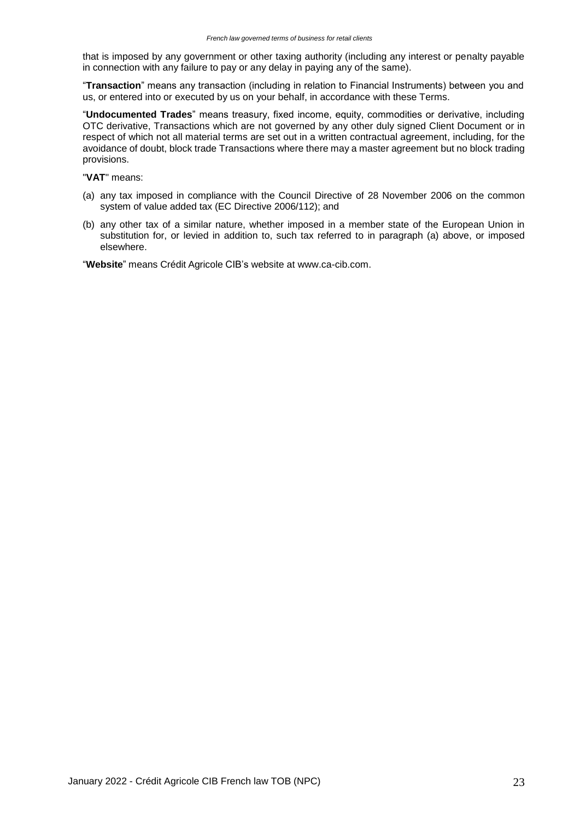that is imposed by any government or other taxing authority (including any interest or penalty payable in connection with any failure to pay or any delay in paying any of the same).

"**Transaction**" means any transaction (including in relation to Financial Instruments) between you and us, or entered into or executed by us on your behalf, in accordance with these Terms.

"**Undocumented Trades**" means treasury, fixed income, equity, commodities or derivative, including OTC derivative, Transactions which are not governed by any other duly signed Client Document or in respect of which not all material terms are set out in a written contractual agreement, including, for the avoidance of doubt, block trade Transactions where there may a master agreement but no block trading provisions.

"**VAT**" means:

- (a) any tax imposed in compliance with the Council Directive of 28 November 2006 on the common system of value added tax (EC Directive 2006/112); and
- (b) any other tax of a similar nature, whether imposed in a member state of the European Union in substitution for, or levied in addition to, such tax referred to in paragraph (a) above, or imposed elsewhere.

"**Website**" means Crédit Agricole CIB's website at [www.ca-cib.com.](http://www.ca-cib.com/)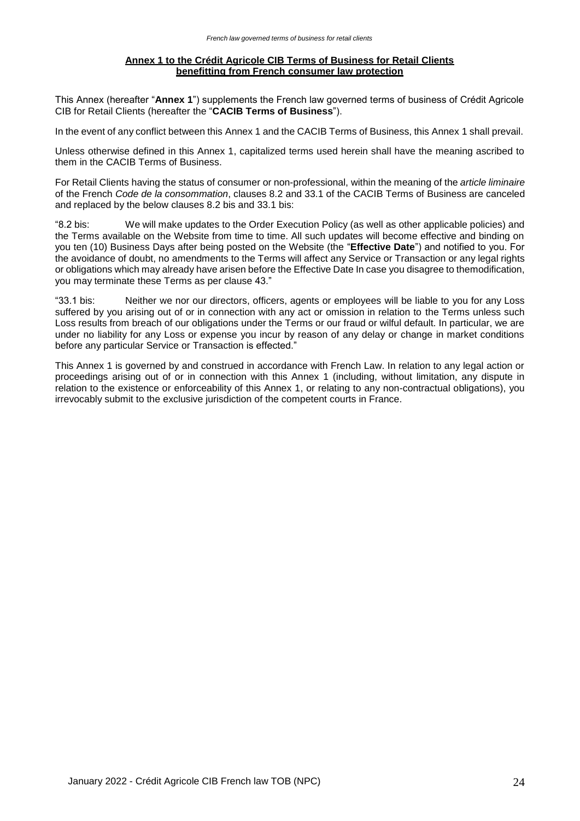### **Annex 1 to the Crédit Agricole CIB Terms of Business for Retail Clients benefitting from French consumer law protection**

This Annex (hereafter "**Annex 1**") supplements the French law governed terms of business of Crédit Agricole CIB for Retail Clients (hereafter the "**CACIB Terms of Business**").

In the event of any conflict between this Annex 1 and the CACIB Terms of Business, this Annex 1 shall prevail.

Unless otherwise defined in this Annex 1, capitalized terms used herein shall have the meaning ascribed to them in the CACIB Terms of Business.

For Retail Clients having the status of consumer or non-professional, within the meaning of the *article liminaire* of the French *Code de la consommation*, clauses 8.2 and 33.1 of the CACIB Terms of Business are canceled and replaced by the below clauses 8.2 bis and 33.1 bis:

"8.2 bis: We will make updates to the Order Execution Policy (as well as other applicable policies) and the Terms available on the Website from time to time. All such updates will become effective and binding on you ten (10) Business Days after being posted on the Website (the "**Effective Date**") and notified to you. For the avoidance of doubt, no amendments to the Terms will affect any Service or Transaction or any legal rights or obligations which may already have arisen before the Effective Date In case you disagree to themodification, you may terminate these Terms as per clause 43."

"33.1 bis: Neither we nor our directors, officers, agents or employees will be liable to you for any Loss suffered by you arising out of or in connection with any act or omission in relation to the Terms unless such Loss results from breach of our obligations under the Terms or our fraud or wilful default. In particular, we are under no liability for any Loss or expense you incur by reason of any delay or change in market conditions before any particular Service or Transaction is effected."

This Annex 1 is governed by and construed in accordance with French Law. In relation to any legal action or proceedings arising out of or in connection with this Annex 1 (including, without limitation, any dispute in relation to the existence or enforceability of this Annex 1, or relating to any non-contractual obligations), you irrevocably submit to the exclusive jurisdiction of the competent courts in France.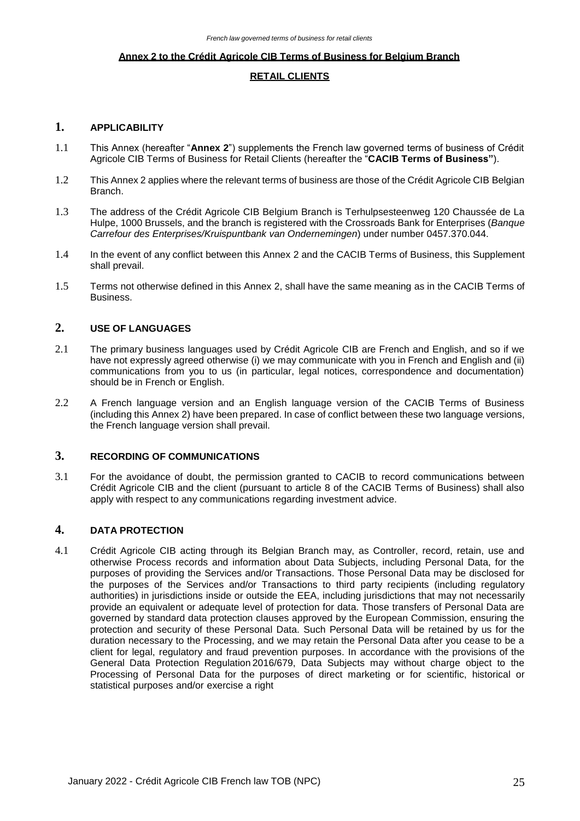#### **Annex 2 to the Crédit Agricole CIB Terms of Business for Belgium Branch**

## **RETAIL CLIENTS**

## **1. APPLICABILITY**

- 1.1 This Annex (hereafter "**Annex 2**") supplements the French law governed terms of business of Crédit Agricole CIB Terms of Business for Retail Clients (hereafter the "**CACIB Terms of Business"**).
- 1.2 This Annex 2 applies where the relevant terms of business are those of the Crédit Agricole CIB Belgian Branch.
- 1.3 The address of the Crédit Agricole CIB Belgium Branch is Terhulpsesteenweg 120 Chaussée de La Hulpe, 1000 Brussels, and the branch is registered with the Crossroads Bank for Enterprises (*Banque Carrefour des Enterprises/Kruispuntbank van Ondernemingen*) under number 0457.370.044.
- 1.4 In the event of any conflict between this Annex 2 and the CACIB Terms of Business, this Supplement shall prevail.
- 1.5 Terms not otherwise defined in this Annex 2, shall have the same meaning as in the CACIB Terms of Business.

## **2. USE OF LANGUAGES**

- 2.1 The primary business languages used by Crédit Agricole CIB are French and English, and so if we have not expressly agreed otherwise (i) we may communicate with you in French and English and (ii) communications from you to us (in particular, legal notices, correspondence and documentation) should be in French or English.
- 2.2 A French language version and an English language version of the CACIB Terms of Business (including this Annex 2) have been prepared. In case of conflict between these two language versions, the French language version shall prevail.

## **3. RECORDING OF COMMUNICATIONS**

3.1 For the avoidance of doubt, the permission granted to CACIB to record communications between Crédit Agricole CIB and the client (pursuant to article 8 of the CACIB Terms of Business) shall also apply with respect to any communications regarding investment advice.

## **4. DATA PROTECTION**

4.1 Crédit Agricole CIB acting through its Belgian Branch may, as Controller, record, retain, use and otherwise Process records and information about Data Subjects, including Personal Data, for the purposes of providing the Services and/or Transactions. Those Personal Data may be disclosed for the purposes of the Services and/or Transactions to third party recipients (including regulatory authorities) in jurisdictions inside or outside the EEA, including jurisdictions that may not necessarily provide an equivalent or adequate level of protection for data. Those transfers of Personal Data are governed by standard data protection clauses approved by the European Commission, ensuring the protection and security of these Personal Data. Such Personal Data will be retained by us for the duration necessary to the Processing, and we may retain the Personal Data after you cease to be a client for legal, regulatory and fraud prevention purposes. In accordance with the provisions of the General Data Protection Regulation 2016/679, Data Subjects may without charge object to the Processing of Personal Data for the purposes of direct marketing or for scientific, historical or statistical purposes and/or exercise a right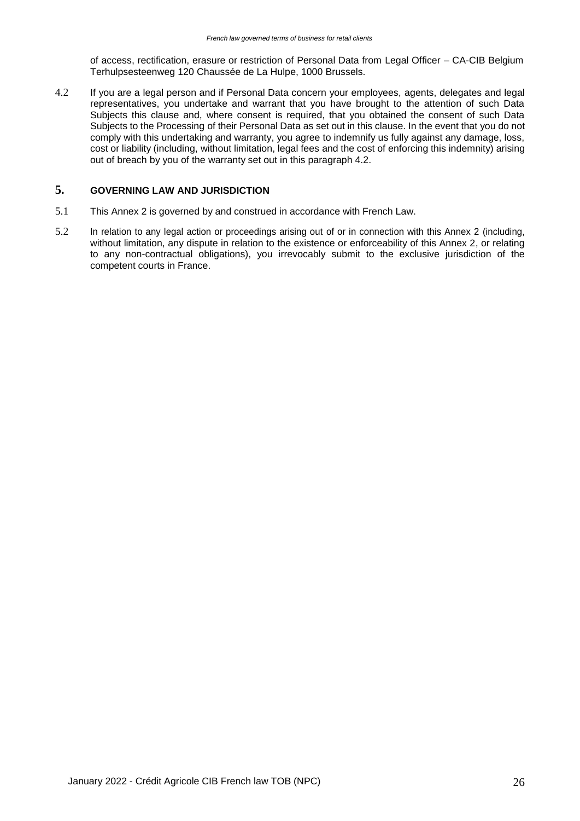of access, rectification, erasure or restriction of Personal Data from Legal Officer – CA-CIB Belgium Terhulpsesteenweg 120 Chaussée de La Hulpe, 1000 Brussels.

4.2 If you are a legal person and if Personal Data concern your employees, agents, delegates and legal representatives, you undertake and warrant that you have brought to the attention of such Data Subjects this clause and, where consent is required, that you obtained the consent of such Data Subjects to the Processing of their Personal Data as set out in this clause. In the event that you do not comply with this undertaking and warranty, you agree to indemnify us fully against any damage, loss, cost or liability (including, without limitation, legal fees and the cost of enforcing this indemnity) arising out of breach by you of the warranty set out in this paragraph 4.2.

# **5. GOVERNING LAW AND JURISDICTION**

- 5.1 This Annex 2 is governed by and construed in accordance with French Law.
- 5.2 In relation to any legal action or proceedings arising out of or in connection with this Annex 2 (including, without limitation, any dispute in relation to the existence or enforceability of this Annex 2, or relating to any non-contractual obligations), you irrevocably submit to the exclusive jurisdiction of the competent courts in France.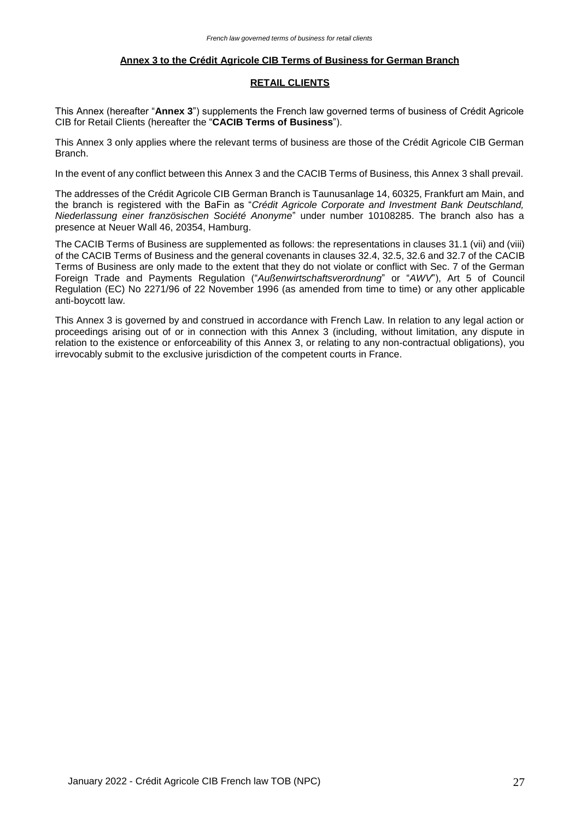## **Annex 3 to the Crédit Agricole CIB Terms of Business for German Branch**

## **RETAIL CLIENTS**

This Annex (hereafter "**Annex 3**") supplements the French law governed terms of business of Crédit Agricole CIB for Retail Clients (hereafter the "**CACIB Terms of Business**").

This Annex 3 only applies where the relevant terms of business are those of the Crédit Agricole CIB German Branch.

In the event of any conflict between this Annex 3 and the CACIB Terms of Business, this Annex 3 shall prevail.

The addresses of the Crédit Agricole CIB German Branch is Taunusanlage 14, 60325, Frankfurt am Main, and the branch is registered with the BaFin as "*Crédit Agricole Corporate and Investment Bank Deutschland, Niederlassung einer französischen Société Anonyme*" under number 10108285. The branch also has a presence at Neuer Wall 46, 20354, Hamburg.

The CACIB Terms of Business are supplemented as follows: the representations in clauses 31.1 (vii) and (viii) of the CACIB Terms of Business and the general covenants in clauses 32.4, 32.5, 32.6 and 32.7 of the CACIB Terms of Business are only made to the extent that they do not violate or conflict with Sec. 7 of the German Foreign Trade and Payments Regulation ("*Außenwirtschaftsverordnung*" or "*AWV*"), Art 5 of Council Regulation (EC) No 2271/96 of 22 November 1996 (as amended from time to time) or any other applicable anti-boycott law.

This Annex 3 is governed by and construed in accordance with French Law. In relation to any legal action or proceedings arising out of or in connection with this Annex 3 (including, without limitation, any dispute in relation to the existence or enforceability of this Annex 3, or relating to any non-contractual obligations), you irrevocably submit to the exclusive jurisdiction of the competent courts in France.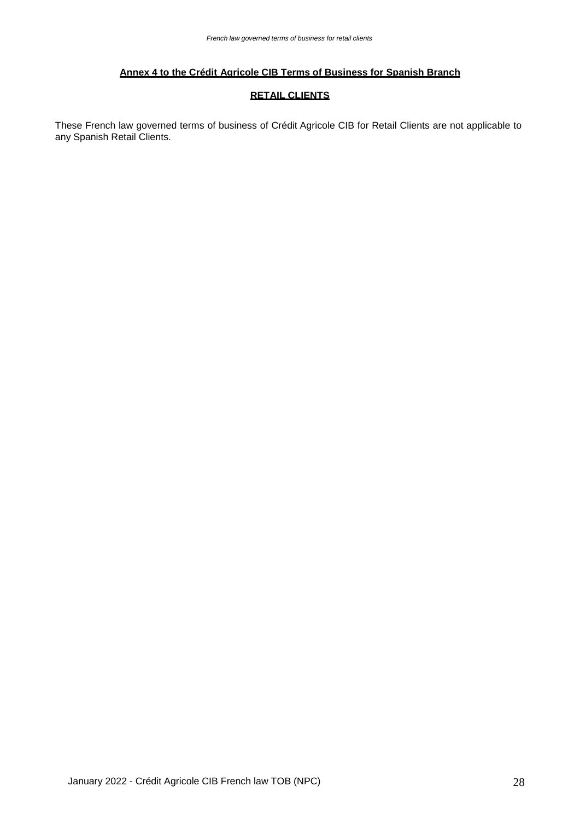## **Annex 4 to the Crédit Agricole CIB Terms of Business for Spanish Branch**

## **RETAIL CLIENTS**

These French law governed terms of business of Crédit Agricole CIB for Retail Clients are not applicable to any Spanish Retail Clients.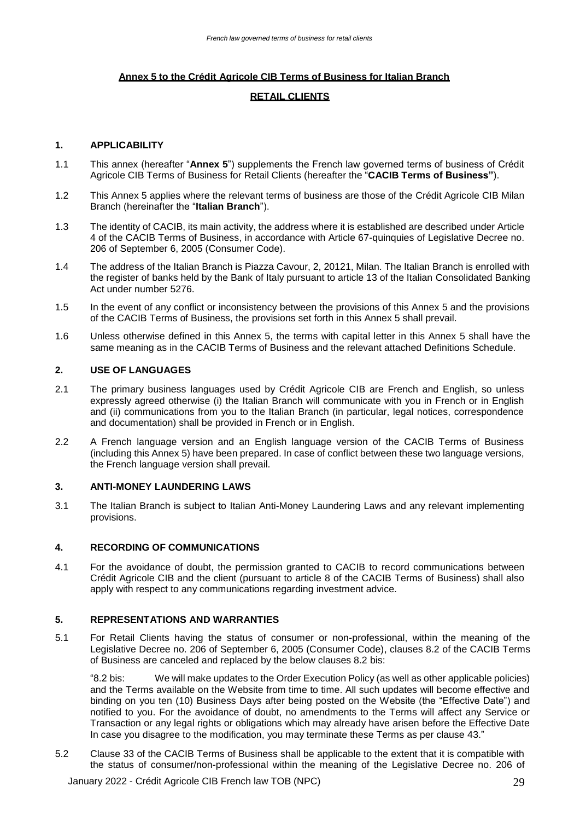## **Annex 5 to the Crédit Agricole CIB Terms of Business for Italian Branch**

## **RETAIL CLIENTS**

## **1. APPLICABILITY**

- 1.1 This annex (hereafter "**Annex 5**") supplements the French law governed terms of business of Crédit Agricole CIB Terms of Business for Retail Clients (hereafter the "**CACIB Terms of Business"**).
- 1.2 This Annex 5 applies where the relevant terms of business are those of the Crédit Agricole CIB Milan Branch (hereinafter the "**Italian Branch**").
- 1.3 The identity of CACIB, its main activity, the address where it is established are described under Article 4 of the CACIB Terms of Business, in accordance with Article 67-quinquies of Legislative Decree no. 206 of September 6, 2005 (Consumer Code).
- 1.4 The address of the Italian Branch is Piazza Cavour, 2, 20121, Milan. The Italian Branch is enrolled with the register of banks held by the Bank of Italy pursuant to article 13 of the Italian Consolidated Banking Act under number 5276.
- 1.5 In the event of any conflict or inconsistency between the provisions of this Annex 5 and the provisions of the CACIB Terms of Business, the provisions set forth in this Annex 5 shall prevail.
- 1.6 Unless otherwise defined in this Annex 5, the terms with capital letter in this Annex 5 shall have the same meaning as in the CACIB Terms of Business and the relevant attached Definitions Schedule.

## **2. USE OF LANGUAGES**

- 2.1 The primary business languages used by Crédit Agricole CIB are French and English, so unless expressly agreed otherwise (i) the Italian Branch will communicate with you in French or in English and (ii) communications from you to the Italian Branch (in particular, legal notices, correspondence and documentation) shall be provided in French or in English.
- 2.2 A French language version and an English language version of the CACIB Terms of Business (including this Annex 5) have been prepared. In case of conflict between these two language versions, the French language version shall prevail.

## **3. ANTI-MONEY LAUNDERING LAWS**

3.1 The Italian Branch is subject to Italian Anti-Money Laundering Laws and any relevant implementing provisions.

### **4. RECORDING OF COMMUNICATIONS**

4.1 For the avoidance of doubt, the permission granted to CACIB to record communications between Crédit Agricole CIB and the client (pursuant to article 8 of the CACIB Terms of Business) shall also apply with respect to any communications regarding investment advice.

## **5. REPRESENTATIONS AND WARRANTIES**

5.1 For Retail Clients having the status of consumer or non-professional, within the meaning of the Legislative Decree no. 206 of September 6, 2005 (Consumer Code), clauses 8.2 of the CACIB Terms of Business are canceled and replaced by the below clauses 8.2 bis:

"8.2 bis: We will make updates to the Order Execution Policy (as well as other applicable policies) and the Terms available on the Website from time to time. All such updates will become effective and binding on you ten (10) Business Days after being posted on the Website (the "Effective Date") and notified to you. For the avoidance of doubt, no amendments to the Terms will affect any Service or Transaction or any legal rights or obligations which may already have arisen before the Effective Date In case you disagree to the modification, you may terminate these Terms as per clause 43."

5.2 Clause 33 of the CACIB Terms of Business shall be applicable to the extent that it is compatible with the status of consumer/non-professional within the meaning of the Legislative Decree no. 206 of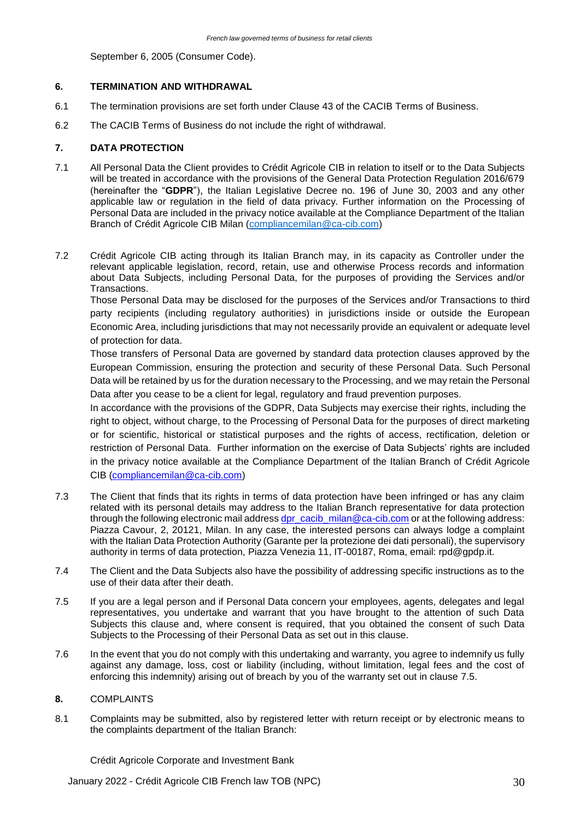September 6, 2005 (Consumer Code).

## **6. TERMINATION AND WITHDRAWAL**

- 6.1 The termination provisions are set forth under Clause 43 of the CACIB Terms of Business.
- 6.2 The CACIB Terms of Business do not include the right of withdrawal.

## **7. DATA PROTECTION**

- 7.1 All Personal Data the Client provides to Crédit Agricole CIB in relation to itself or to the Data Subjects will be treated in accordance with the provisions of the General Data Protection Regulation 2016/679 (hereinafter the "**GDPR**"), the Italian Legislative Decree no. 196 of June 30, 2003 and any other applicable law or regulation in the field of data privacy. Further information on the Processing of Personal Data are included in the privacy notice available at the Compliance Department of the Italian Branch of Crédit Agricole CIB Milan [\(compliancemilan@ca-cib.com\)](mailto:compliancemilan@ca-cib.com)
- 7.2 Crédit Agricole CIB acting through its Italian Branch may, in its capacity as Controller under the relevant applicable legislation, record, retain, use and otherwise Process records and information about Data Subjects, including Personal Data, for the purposes of providing the Services and/or Transactions.

Those Personal Data may be disclosed for the purposes of the Services and/or Transactions to third party recipients (including regulatory authorities) in jurisdictions inside or outside the European Economic Area, including jurisdictions that may not necessarily provide an equivalent or adequate level of protection for data.

Those transfers of Personal Data are governed by standard data protection clauses approved by the European Commission, ensuring the protection and security of these Personal Data. Such Personal Data will be retained by us for the duration necessary to the Processing, and we may retain the Personal Data after you cease to be a client for legal, regulatory and fraud prevention purposes.

In accordance with the provisions of the GDPR, Data Subjects may exercise their rights, including the right to object, without charge, to the Processing of Personal Data for the purposes of direct marketing or for scientific, historical or statistical purposes and the rights of access, rectification, deletion or restriction of Personal Data. Further information on the exercise of Data Subjects' rights are included in the privacy notice available at the Compliance Department of the Italian Branch of Crédit Agricole CIB [\(compliancemilan@ca-cib.com\)](mailto:compliancemilan@ca-cib.com)

- 7.3 The Client that finds that its rights in terms of data protection have been infringed or has any claim related with its personal details may address to the Italian Branch representative for data protection through the following electronic mail address [dpr\\_cacib\\_milan@ca-cib.com](mailto:dpr_cacib_milan@ca-cib.com) or at the following address: Piazza Cavour, 2, 20121, Milan. In any case, the interested persons can always lodge a complaint with the Italian Data Protection Authority (Garante per la protezione dei dati personali), the supervisory authority in terms of data protection, Piazza Venezia 11, IT-00187, Roma, email: rpd@gpdp.it.
- 7.4 The Client and the Data Subjects also have the possibility of addressing specific instructions as to the use of their data after their death.
- 7.5 If you are a legal person and if Personal Data concern your employees, agents, delegates and legal representatives, you undertake and warrant that you have brought to the attention of such Data Subjects this clause and, where consent is required, that you obtained the consent of such Data Subjects to the Processing of their Personal Data as set out in this clause.
- 7.6 In the event that you do not comply with this undertaking and warranty, you agree to indemnify us fully against any damage, loss, cost or liability (including, without limitation, legal fees and the cost of enforcing this indemnity) arising out of breach by you of the warranty set out in clause 7.5.

## **8.** COMPLAINTS

8.1 Complaints may be submitted, also by registered letter with return receipt or by electronic means to the complaints department of the Italian Branch:

Crédit Agricole Corporate and Investment Bank

January 2022 - Crédit Agricole CIB French law TOB (NPC) 30